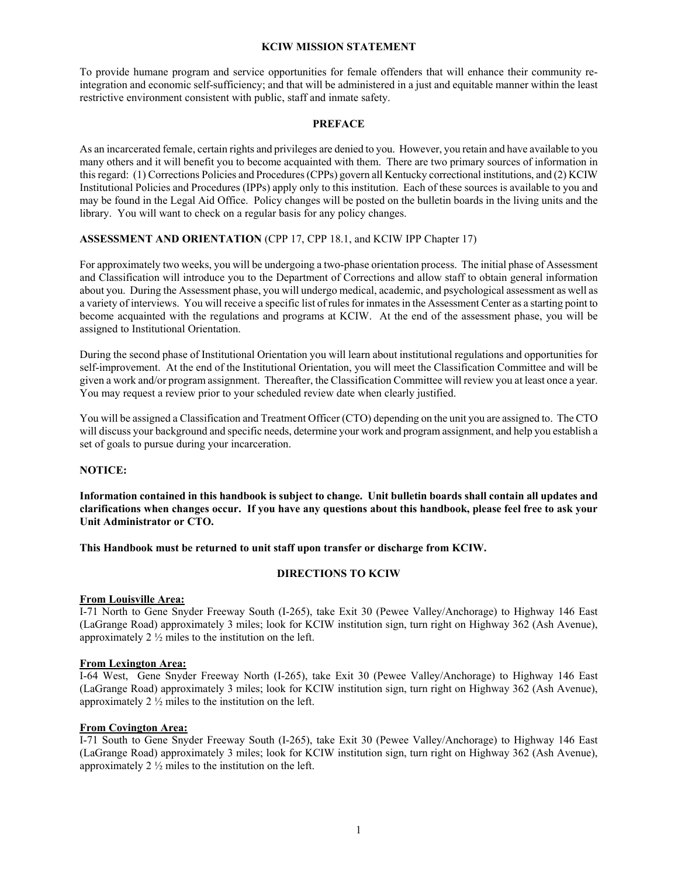#### **KCIW MISSION STATEMENT**

To provide humane program and service opportunities for female offenders that will enhance their community reintegration and economic self-sufficiency; and that will be administered in a just and equitable manner within the least restrictive environment consistent with public, staff and inmate safety.

#### **PREFACE**

As an incarcerated female, certain rights and privileges are denied to you. However, you retain and have available to you many others and it will benefit you to become acquainted with them. There are two primary sources of information in this regard: (1) Corrections Policies and Procedures (CPPs) govern all Kentucky correctional institutions, and (2) KCIW Institutional Policies and Procedures (IPPs) apply only to this institution. Each of these sources is available to you and may be found in the Legal Aid Office. Policy changes will be posted on the bulletin boards in the living units and the library. You will want to check on a regular basis for any policy changes.

## **ASSESSMENT AND ORIENTATION** (CPP 17, CPP 18.1, and KCIW IPP Chapter 17)

For approximately two weeks, you will be undergoing a two-phase orientation process. The initial phase of Assessment and Classification will introduce you to the Department of Corrections and allow staff to obtain general information about you. During the Assessment phase, you will undergo medical, academic, and psychological assessment as well as a variety of interviews. You will receive a specific list of rules for inmates in the Assessment Center as a starting point to become acquainted with the regulations and programs at KCIW. At the end of the assessment phase, you will be assigned to Institutional Orientation.

During the second phase of Institutional Orientation you will learn about institutional regulations and opportunities for self-improvement. At the end of the Institutional Orientation, you will meet the Classification Committee and will be given a work and/or program assignment. Thereafter, the Classification Committee will review you at least once a year. You may request a review prior to your scheduled review date when clearly justified.

You will be assigned a Classification and Treatment Officer (CTO) depending on the unit you are assigned to. The CTO will discuss your background and specific needs, determine your work and program assignment, and help you establish a set of goals to pursue during your incarceration.

#### **NOTICE:**

**Information contained in this handbook is subject to change. Unit bulletin boards shall contain all updates and clarifications when changes occur. If you have any questions about this handbook, please feel free to ask your Unit Administrator or CTO.**

**This Handbook must be returned to unit staff upon transfer or discharge from KCIW.**

#### **DIRECTIONS TO KCIW**

#### **From Louisville Area:**

I-71 North to Gene Snyder Freeway South (I-265), take Exit 30 (Pewee Valley/Anchorage) to Highway 146 East (LaGrange Road) approximately 3 miles; look for KCIW institution sign, turn right on Highway 362 (Ash Avenue), approximately 2 ½ miles to the institution on the left.

#### **From Lexington Area:**

I-64 West, Gene Snyder Freeway North (I-265), take Exit 30 (Pewee Valley/Anchorage) to Highway 146 East (LaGrange Road) approximately 3 miles; look for KCIW institution sign, turn right on Highway 362 (Ash Avenue), approximately 2 ½ miles to the institution on the left.

#### **From Covington Area:**

I-71 South to Gene Snyder Freeway South (I-265), take Exit 30 (Pewee Valley/Anchorage) to Highway 146 East (LaGrange Road) approximately 3 miles; look for KCIW institution sign, turn right on Highway 362 (Ash Avenue), approximately 2 ½ miles to the institution on the left.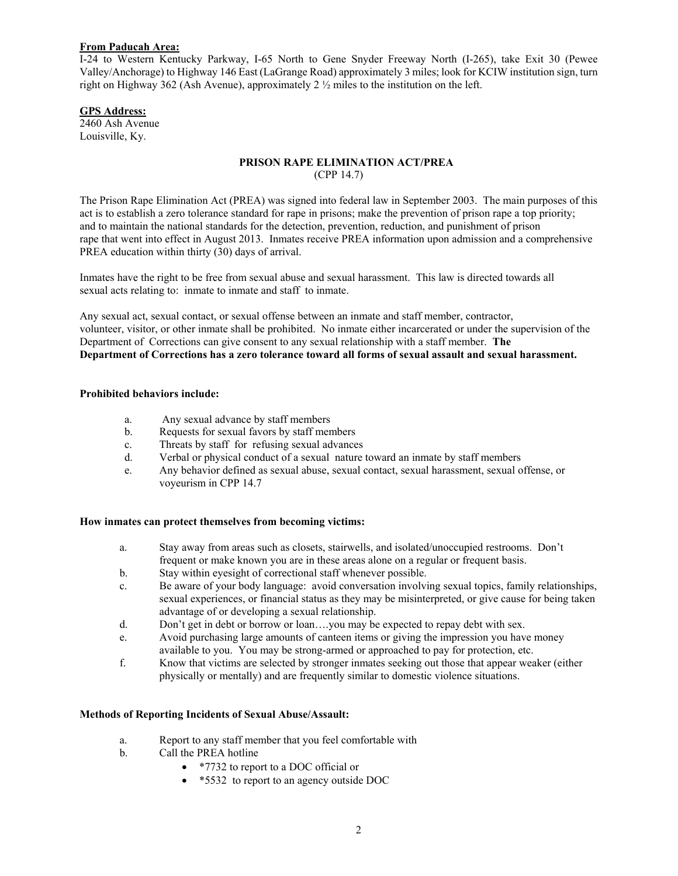#### **From Paducah Area:**

I-24 to Western Kentucky Parkway, I-65 North to Gene Snyder Freeway North (I-265), take Exit 30 (Pewee Valley/Anchorage) to Highway 146 East (LaGrange Road) approximately 3 miles; look for KCIW institution sign, turn right on Highway 362 (Ash Avenue), approximately 2  $\frac{1}{2}$  miles to the institution on the left.

### **GPS Address:**

2460 Ash Avenue Louisville, Ky.

#### **PRISON RAPE ELIMINATION ACT/PREA** (CPP 14.7)

The Prison Rape Elimination Act (PREA) was signed into federal law in September 2003. The main purposes of this act is to establish a zero tolerance standard for rape in prisons; make the prevention of prison rape a top priority; and to maintain the national standards for the detection, prevention, reduction, and punishment of prison rape that went into effect in August 2013. Inmates receive PREA information upon admission and a comprehensive PREA education within thirty (30) days of arrival.

Inmates have the right to be free from sexual abuse and sexual harassment. This law is directed towards all sexual acts relating to: inmate to inmate and staff to inmate.

Any sexual act, sexual contact, or sexual offense between an inmate and staff member, contractor, volunteer, visitor, or other inmate shall be prohibited. No inmate either incarcerated or under the supervision of the Department of Corrections can give consent to any sexual relationship with a staff member. **The Department of Corrections has a zero tolerance toward all forms of sexual assault and sexual harassment.** 

### **Prohibited behaviors include:**

- a. Any sexual advance by staff members
- b. Requests for sexual favors by staff members
- c. Threats by staff for refusing sexual advances
- d. Verbal or physical conduct of a sexual nature toward an inmate by staff members
- e. Any behavior defined as sexual abuse, sexual contact, sexual harassment, sexual offense, or voyeurism in CPP 14.7

#### **How inmates can protect themselves from becoming victims:**

- a. Stay away from areas such as closets, stairwells, and isolated/unoccupied restrooms. Don't frequent or make known you are in these areas alone on a regular or frequent basis.
- b. Stay within eyesight of correctional staff whenever possible.
- c. Be aware of your body language: avoid conversation involving sexual topics, family relationships, sexual experiences, or financial status as they may be misinterpreted, or give cause for being taken advantage of or developing a sexual relationship.
- d. Don't get in debt or borrow or loan….you may be expected to repay debt with sex.
- e. Avoid purchasing large amounts of canteen items or giving the impression you have money available to you. You may be strong-armed or approached to pay for protection, etc.
- f. Know that victims are selected by stronger inmates seeking out those that appear weaker (either physically or mentally) and are frequently similar to domestic violence situations.

#### **Methods of Reporting Incidents of Sexual Abuse/Assault:**

- a. Report to any staff member that you feel comfortable with
- b. Call the PREA hotline
	- \*7732 to report to a DOC official or
	- \*5532 to report to an agency outside DOC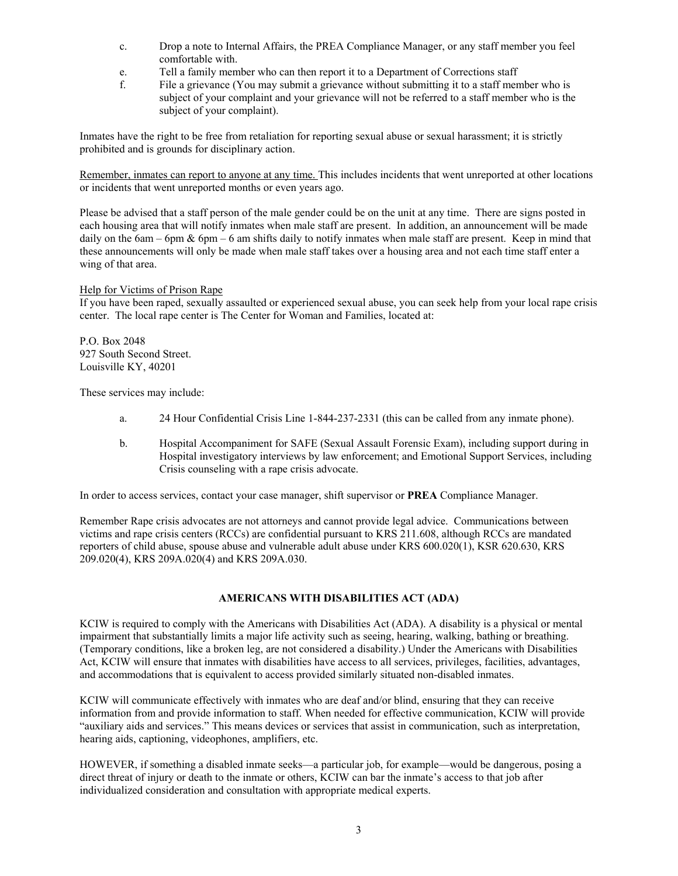- c. Drop a note to Internal Affairs, the PREA Compliance Manager, or any staff member you feel comfortable with.
- e. Tell a family member who can then report it to a Department of Corrections staff
- f. File a grievance (You may submit a grievance without submitting it to a staff member who is subject of your complaint and your grievance will not be referred to a staff member who is the subject of your complaint).

Inmates have the right to be free from retaliation for reporting sexual abuse or sexual harassment; it is strictly prohibited and is grounds for disciplinary action.

Remember, inmates can report to anyone at any time. This includes incidents that went unreported at other locations or incidents that went unreported months or even years ago.

Please be advised that a staff person of the male gender could be on the unit at any time. There are signs posted in each housing area that will notify inmates when male staff are present. In addition, an announcement will be made daily on the 6am – 6pm  $\&$  6pm – 6 am shifts daily to notify inmates when male staff are present. Keep in mind that these announcements will only be made when male staff takes over a housing area and not each time staff enter a wing of that area.

### Help for Victims of Prison Rape

If you have been raped, sexually assaulted or experienced sexual abuse, you can seek help from your local rape crisis center. The local rape center is The Center for Woman and Families, located at:

P.O. Box 2048 927 South Second Street. Louisville KY, 40201

These services may include:

- a. 24 Hour Confidential Crisis Line 1-844-237-2331 (this can be called from any inmate phone).
- b. Hospital Accompaniment for SAFE (Sexual Assault Forensic Exam), including support during in Hospital investigatory interviews by law enforcement; and Emotional Support Services, including Crisis counseling with a rape crisis advocate.

In order to access services, contact your case manager, shift supervisor or **PREA** Compliance Manager.

Remember Rape crisis advocates are not attorneys and cannot provide legal advice. Communications between victims and rape crisis centers (RCCs) are confidential pursuant to KRS 211.608, although RCCs are mandated reporters of child abuse, spouse abuse and vulnerable adult abuse under KRS 600.020(1), KSR 620.630, KRS 209.020(4), KRS 209A.020(4) and KRS 209A.030.

## **AMERICANS WITH DISABILITIES ACT (ADA)**

KCIW is required to comply with the Americans with Disabilities Act (ADA). A disability is a physical or mental impairment that substantially limits a major life activity such as seeing, hearing, walking, bathing or breathing. (Temporary conditions, like a broken leg, are not considered a disability.) Under the Americans with Disabilities Act, KCIW will ensure that inmates with disabilities have access to all services, privileges, facilities, advantages, and accommodations that is equivalent to access provided similarly situated non-disabled inmates.

KCIW will communicate effectively with inmates who are deaf and/or blind, ensuring that they can receive information from and provide information to staff. When needed for effective communication, KCIW will provide "auxiliary aids and services." This means devices or services that assist in communication, such as interpretation, hearing aids, captioning, videophones, amplifiers, etc.

HOWEVER, if something a disabled inmate seeks—a particular job, for example—would be dangerous, posing a direct threat of injury or death to the inmate or others, KCIW can bar the inmate's access to that job after individualized consideration and consultation with appropriate medical experts.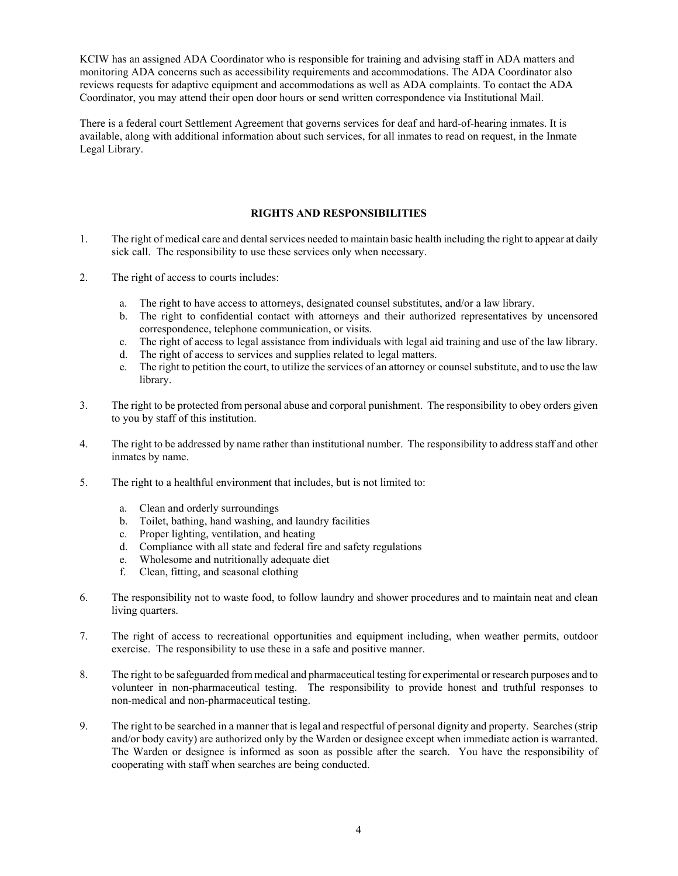KCIW has an assigned ADA Coordinator who is responsible for training and advising staff in ADA matters and monitoring ADA concerns such as accessibility requirements and accommodations. The ADA Coordinator also reviews requests for adaptive equipment and accommodations as well as ADA complaints. To contact the ADA Coordinator, you may attend their open door hours or send written correspondence via Institutional Mail.

There is a federal court Settlement Agreement that governs services for deaf and hard-of-hearing inmates. It is available, along with additional information about such services, for all inmates to read on request, in the Inmate Legal Library.

# **RIGHTS AND RESPONSIBILITIES**

- 1. The right of medical care and dental services needed to maintain basic health including the right to appear at daily sick call. The responsibility to use these services only when necessary.
- 2. The right of access to courts includes:
	- a. The right to have access to attorneys, designated counsel substitutes, and/or a law library.
	- b. The right to confidential contact with attorneys and their authorized representatives by uncensored correspondence, telephone communication, or visits.
	- c. The right of access to legal assistance from individuals with legal aid training and use of the law library.
	- d. The right of access to services and supplies related to legal matters.
	- e. The right to petition the court, to utilize the services of an attorney or counsel substitute, and to use the law library.
- 3. The right to be protected from personal abuse and corporal punishment. The responsibility to obey orders given to you by staff of this institution.
- 4. The right to be addressed by name rather than institutional number. The responsibility to address staff and other inmates by name.
- 5. The right to a healthful environment that includes, but is not limited to:
	- a. Clean and orderly surroundings
	- b. Toilet, bathing, hand washing, and laundry facilities
	- c. Proper lighting, ventilation, and heating
	- d. Compliance with all state and federal fire and safety regulations
	- e. Wholesome and nutritionally adequate diet
	- f. Clean, fitting, and seasonal clothing
- 6. The responsibility not to waste food, to follow laundry and shower procedures and to maintain neat and clean living quarters.
- 7. The right of access to recreational opportunities and equipment including, when weather permits, outdoor exercise. The responsibility to use these in a safe and positive manner.
- 8. The right to be safeguarded from medical and pharmaceutical testing for experimental or research purposes and to volunteer in non-pharmaceutical testing. The responsibility to provide honest and truthful responses to non-medical and non-pharmaceutical testing.
- 9. The right to be searched in a manner that is legal and respectful of personal dignity and property. Searches (strip and/or body cavity) are authorized only by the Warden or designee except when immediate action is warranted. The Warden or designee is informed as soon as possible after the search. You have the responsibility of cooperating with staff when searches are being conducted.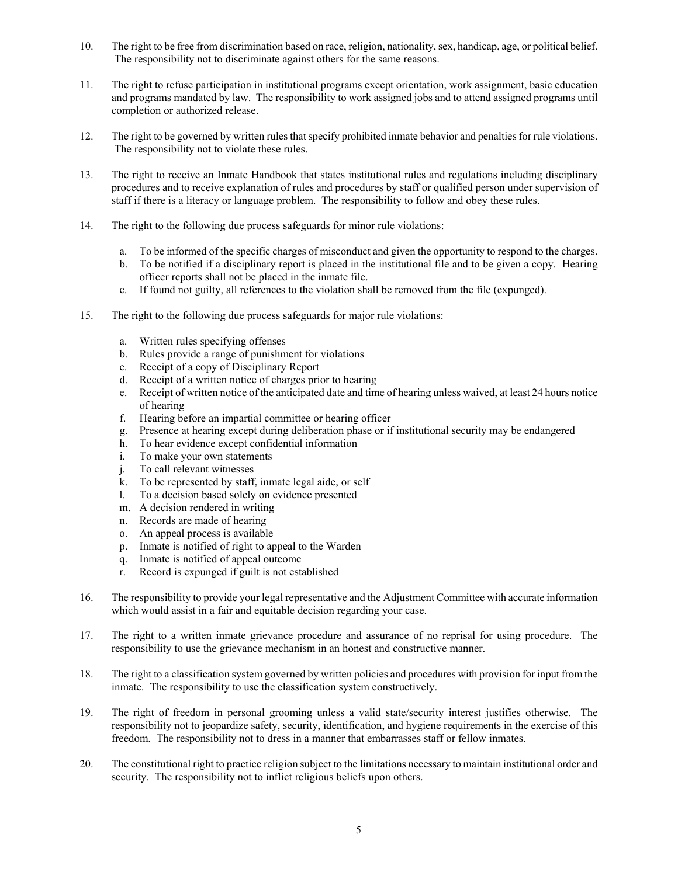- 10. The right to be free from discrimination based on race, religion, nationality, sex, handicap, age, or political belief. The responsibility not to discriminate against others for the same reasons.
- 11. The right to refuse participation in institutional programs except orientation, work assignment, basic education and programs mandated by law. The responsibility to work assigned jobs and to attend assigned programs until completion or authorized release.
- 12. The right to be governed by written rules that specify prohibited inmate behavior and penalties for rule violations. The responsibility not to violate these rules.
- 13. The right to receive an Inmate Handbook that states institutional rules and regulations including disciplinary procedures and to receive explanation of rules and procedures by staff or qualified person under supervision of staff if there is a literacy or language problem. The responsibility to follow and obey these rules.
- 14. The right to the following due process safeguards for minor rule violations:
	- a. To be informed of the specific charges of misconduct and given the opportunity to respond to the charges.
	- b. To be notified if a disciplinary report is placed in the institutional file and to be given a copy. Hearing officer reports shall not be placed in the inmate file.
	- c. If found not guilty, all references to the violation shall be removed from the file (expunged).
- 15. The right to the following due process safeguards for major rule violations:
	- a. Written rules specifying offenses
	- b. Rules provide a range of punishment for violations
	- c. Receipt of a copy of Disciplinary Report
	- d. Receipt of a written notice of charges prior to hearing
	- e. Receipt of written notice of the anticipated date and time of hearing unless waived, at least 24 hours notice of hearing
	- f. Hearing before an impartial committee or hearing officer
	- g. Presence at hearing except during deliberation phase or if institutional security may be endangered
	- h. To hear evidence except confidential information
	- i. To make your own statements
	- j. To call relevant witnesses
	- k. To be represented by staff, inmate legal aide, or self 1. To a decision based solely on evidence presented
	- To a decision based solely on evidence presented
	- m. A decision rendered in writing
	- n. Records are made of hearing
	- o. An appeal process is available
	- p. Inmate is notified of right to appeal to the Warden
	- q. Inmate is notified of appeal outcome
	- r. Record is expunged if guilt is not established
- 16. The responsibility to provide your legal representative and the Adjustment Committee with accurate information which would assist in a fair and equitable decision regarding your case.
- 17. The right to a written inmate grievance procedure and assurance of no reprisal for using procedure. The responsibility to use the grievance mechanism in an honest and constructive manner.
- 18. The right to a classification system governed by written policies and procedures with provision for input from the inmate. The responsibility to use the classification system constructively.
- 19. The right of freedom in personal grooming unless a valid state/security interest justifies otherwise. The responsibility not to jeopardize safety, security, identification, and hygiene requirements in the exercise of this freedom. The responsibility not to dress in a manner that embarrasses staff or fellow inmates.
- 20. The constitutional right to practice religion subject to the limitations necessary to maintain institutional order and security. The responsibility not to inflict religious beliefs upon others.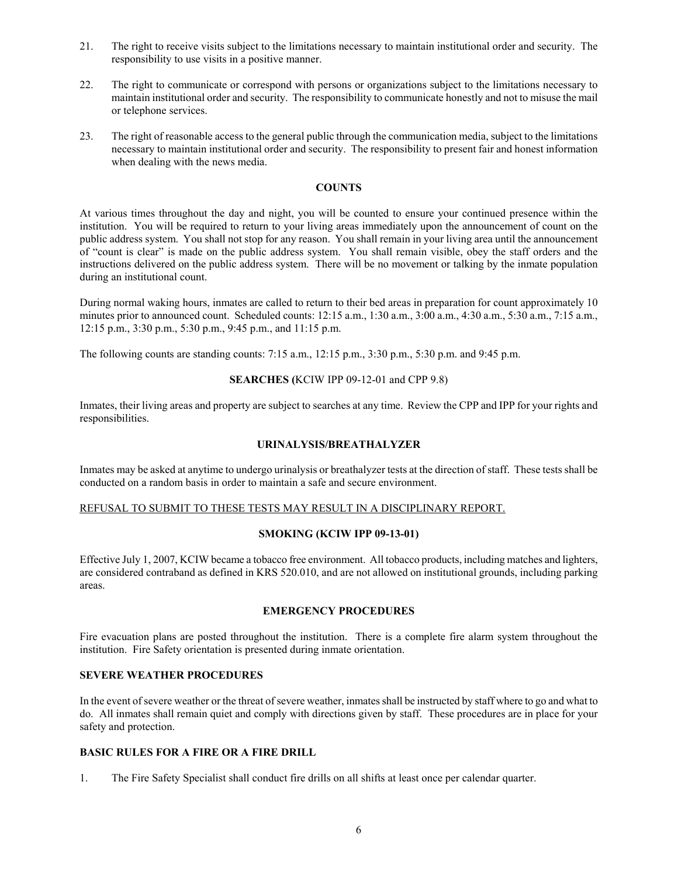- 21. The right to receive visits subject to the limitations necessary to maintain institutional order and security. The responsibility to use visits in a positive manner.
- 22. The right to communicate or correspond with persons or organizations subject to the limitations necessary to maintain institutional order and security. The responsibility to communicate honestly and not to misuse the mail or telephone services.
- 23. The right of reasonable access to the general public through the communication media, subject to the limitations necessary to maintain institutional order and security. The responsibility to present fair and honest information when dealing with the news media.

## **COUNTS**

At various times throughout the day and night, you will be counted to ensure your continued presence within the institution. You will be required to return to your living areas immediately upon the announcement of count on the public address system. You shall not stop for any reason. You shall remain in your living area until the announcement of "count is clear" is made on the public address system. You shall remain visible, obey the staff orders and the instructions delivered on the public address system. There will be no movement or talking by the inmate population during an institutional count.

During normal waking hours, inmates are called to return to their bed areas in preparation for count approximately 10 minutes prior to announced count. Scheduled counts: 12:15 a.m., 1:30 a.m., 3:00 a.m., 4:30 a.m., 5:30 a.m., 7:15 a.m., 12:15 p.m., 3:30 p.m., 5:30 p.m., 9:45 p.m., and 11:15 p.m.

The following counts are standing counts: 7:15 a.m., 12:15 p.m., 3:30 p.m., 5:30 p.m. and 9:45 p.m.

### **SEARCHES (**KCIW IPP 09-12-01 and CPP 9.8)

Inmates, their living areas and property are subject to searches at any time. Review the CPP and IPP for your rights and responsibilities.

## **URINALYSIS/BREATHALYZER**

Inmates may be asked at anytime to undergo urinalysis or breathalyzer tests at the direction of staff. These tests shall be conducted on a random basis in order to maintain a safe and secure environment.

#### REFUSAL TO SUBMIT TO THESE TESTS MAY RESULT IN A DISCIPLINARY REPORT.

#### **SMOKING (KCIW IPP 09-13-01)**

Effective July 1, 2007, KCIW became a tobacco free environment. All tobacco products, including matches and lighters, are considered contraband as defined in KRS 520.010, and are not allowed on institutional grounds, including parking areas.

## **EMERGENCY PROCEDURES**

Fire evacuation plans are posted throughout the institution. There is a complete fire alarm system throughout the institution. Fire Safety orientation is presented during inmate orientation.

# **SEVERE WEATHER PROCEDURES**

In the event of severe weather or the threat of severe weather, inmates shall be instructed by staff where to go and what to do. All inmates shall remain quiet and comply with directions given by staff. These procedures are in place for your safety and protection.

#### **BASIC RULES FOR A FIRE OR A FIRE DRILL**

1. The Fire Safety Specialist shall conduct fire drills on all shifts at least once per calendar quarter.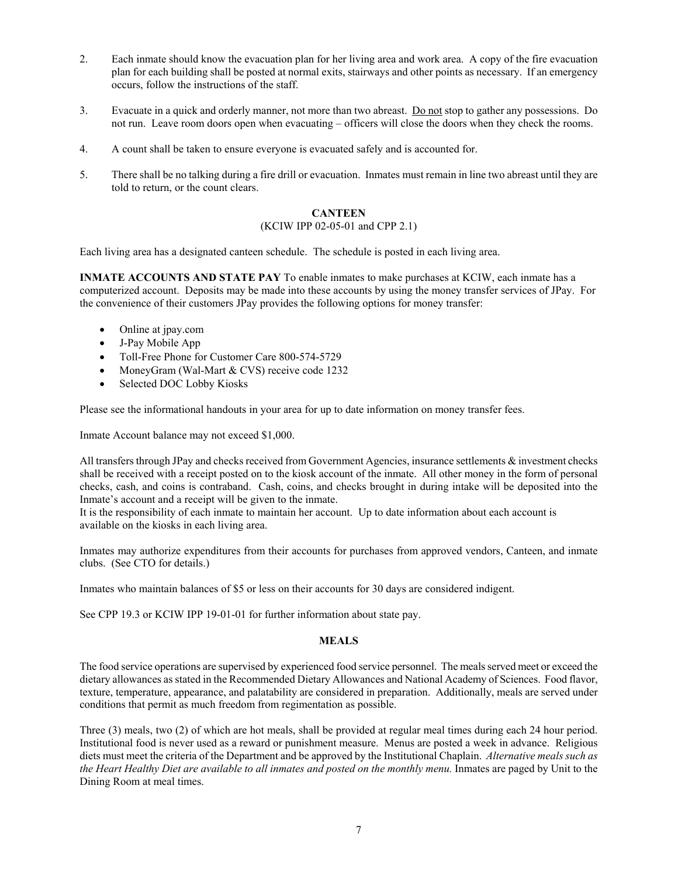- 2. Each inmate should know the evacuation plan for her living area and work area. A copy of the fire evacuation plan for each building shall be posted at normal exits, stairways and other points as necessary. If an emergency occurs, follow the instructions of the staff.
- 3. Evacuate in a quick and orderly manner, not more than two abreast. Do not stop to gather any possessions. Do not run. Leave room doors open when evacuating – officers will close the doors when they check the rooms.
- 4. A count shall be taken to ensure everyone is evacuated safely and is accounted for.
- 5. There shall be no talking during a fire drill or evacuation. Inmates must remain in line two abreast until they are told to return, or the count clears.

# **CANTEEN**

# (KCIW IPP 02-05-01 and CPP 2.1)

Each living area has a designated canteen schedule. The schedule is posted in each living area.

**INMATE ACCOUNTS AND STATE PAY** To enable inmates to make purchases at KCIW, each inmate has a computerized account. Deposits may be made into these accounts by using the money transfer services of JPay. For the convenience of their customers JPay provides the following options for money transfer:

- Online at jpay.com
- J-Pay Mobile App
- Toll-Free Phone for Customer Care 800-574-5729
- MoneyGram (Wal-Mart & CVS) receive code 1232
- Selected DOC Lobby Kiosks

Please see the informational handouts in your area for up to date information on money transfer fees.

Inmate Account balance may not exceed \$1,000.

All transfers through JPay and checks received from Government Agencies, insurance settlements & investment checks shall be received with a receipt posted on to the kiosk account of the inmate. All other money in the form of personal checks, cash, and coins is contraband. Cash, coins, and checks brought in during intake will be deposited into the Inmate's account and a receipt will be given to the inmate.

It is the responsibility of each inmate to maintain her account. Up to date information about each account is available on the kiosks in each living area.

Inmates may authorize expenditures from their accounts for purchases from approved vendors, Canteen, and inmate clubs. (See CTO for details.)

Inmates who maintain balances of \$5 or less on their accounts for 30 days are considered indigent.

See CPP 19.3 or KCIW IPP 19-01-01 for further information about state pay.

#### **MEALS**

The food service operations are supervised by experienced food service personnel. The meals served meet or exceed the dietary allowances as stated in the Recommended Dietary Allowances and National Academy of Sciences. Food flavor, texture, temperature, appearance, and palatability are considered in preparation. Additionally, meals are served under conditions that permit as much freedom from regimentation as possible.

Three (3) meals, two (2) of which are hot meals, shall be provided at regular meal times during each 24 hour period. Institutional food is never used as a reward or punishment measure. Menus are posted a week in advance. Religious diets must meet the criteria of the Department and be approved by the Institutional Chaplain. *Alternative meals such as the Heart Healthy Diet are available to all inmates and posted on the monthly menu.* Inmates are paged by Unit to the Dining Room at meal times.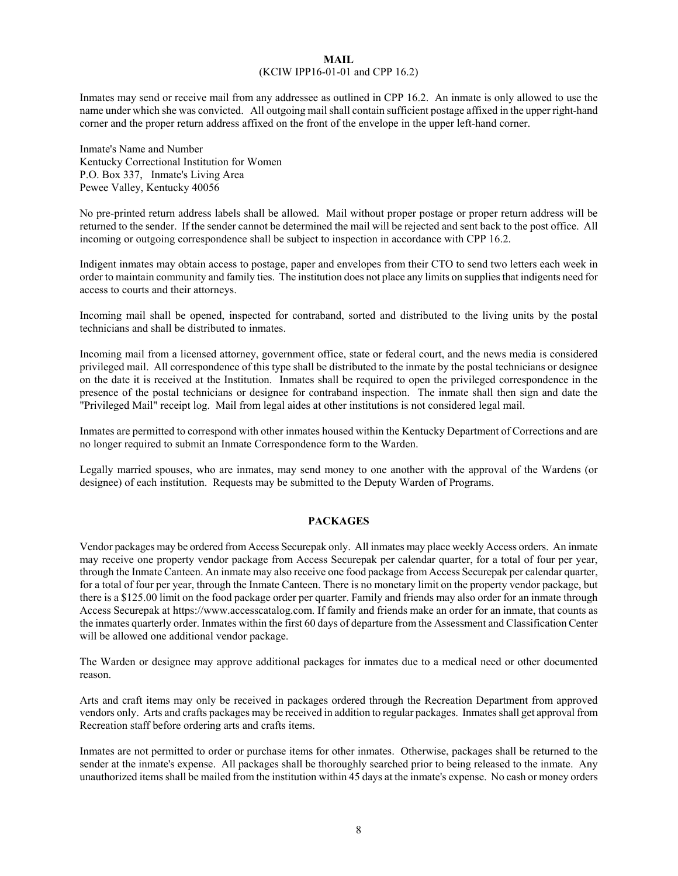#### **MAIL** (KCIW IPP16-01-01 and CPP 16.2)

Inmates may send or receive mail from any addressee as outlined in CPP 16.2. An inmate is only allowed to use the name under which she was convicted. All outgoing mail shall contain sufficient postage affixed in the upper right-hand corner and the proper return address affixed on the front of the envelope in the upper left-hand corner.

Inmate's Name and Number Kentucky Correctional Institution for Women P.O. Box 337, Inmate's Living Area Pewee Valley, Kentucky 40056

No pre-printed return address labels shall be allowed. Mail without proper postage or proper return address will be returned to the sender. If the sender cannot be determined the mail will be rejected and sent back to the post office. All incoming or outgoing correspondence shall be subject to inspection in accordance with CPP 16.2.

Indigent inmates may obtain access to postage, paper and envelopes from their CTO to send two letters each week in order to maintain community and family ties. The institution does not place any limits on supplies that indigents need for access to courts and their attorneys.

Incoming mail shall be opened, inspected for contraband, sorted and distributed to the living units by the postal technicians and shall be distributed to inmates.

Incoming mail from a licensed attorney, government office, state or federal court, and the news media is considered privileged mail. All correspondence of this type shall be distributed to the inmate by the postal technicians or designee on the date it is received at the Institution. Inmates shall be required to open the privileged correspondence in the presence of the postal technicians or designee for contraband inspection. The inmate shall then sign and date the "Privileged Mail" receipt log. Mail from legal aides at other institutions is not considered legal mail.

Inmates are permitted to correspond with other inmates housed within the Kentucky Department of Corrections and are no longer required to submit an Inmate Correspondence form to the Warden.

Legally married spouses, who are inmates, may send money to one another with the approval of the Wardens (or designee) of each institution. Requests may be submitted to the Deputy Warden of Programs.

## **PACKAGES**

Vendor packages may be ordered from Access Securepak only. All inmates may place weekly Access orders. An inmate may receive one property vendor package from Access Securepak per calendar quarter, for a total of four per year, through the Inmate Canteen. An inmate may also receive one food package from Access Securepak per calendar quarter, for a total of four per year, through the Inmate Canteen. There is no monetary limit on the property vendor package, but there is a \$125.00 limit on the food package order per quarter. Family and friends may also order for an inmate through Access Securepak at https://www.accesscatalog.com. If family and friends make an order for an inmate, that counts as the inmates quarterly order. Inmates within the first 60 days of departure from the Assessment and Classification Center will be allowed one additional vendor package.

The Warden or designee may approve additional packages for inmates due to a medical need or other documented reason.

Arts and craft items may only be received in packages ordered through the Recreation Department from approved vendors only. Arts and crafts packages may be received in addition to regular packages. Inmates shall get approval from Recreation staff before ordering arts and crafts items.

Inmates are not permitted to order or purchase items for other inmates. Otherwise, packages shall be returned to the sender at the inmate's expense. All packages shall be thoroughly searched prior to being released to the inmate. Any unauthorized items shall be mailed from the institution within 45 days at the inmate's expense. No cash or money orders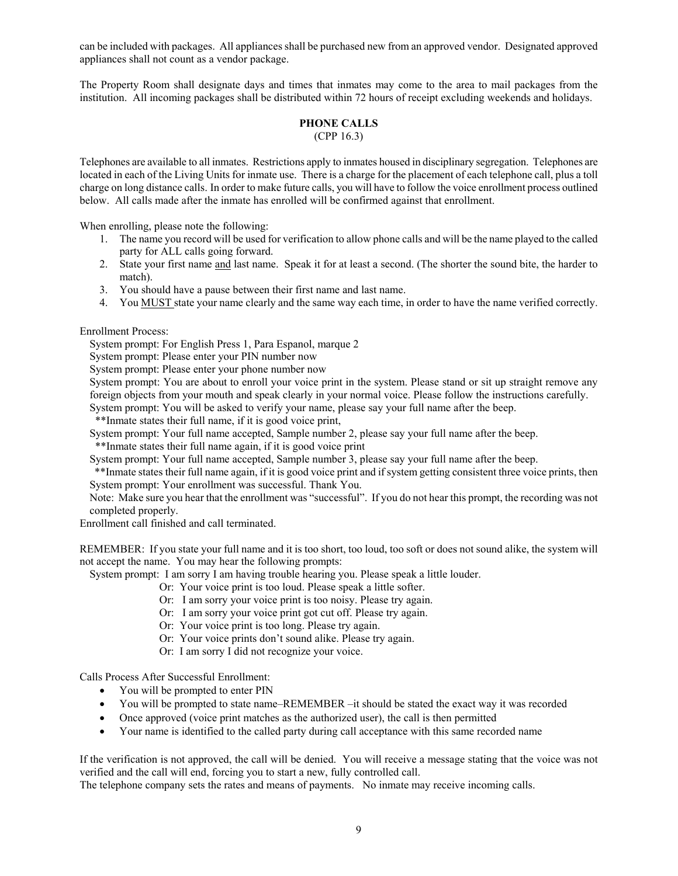can be included with packages. All appliances shall be purchased new from an approved vendor. Designated approved appliances shall not count as a vendor package.

The Property Room shall designate days and times that inmates may come to the area to mail packages from the institution. All incoming packages shall be distributed within 72 hours of receipt excluding weekends and holidays.

#### **PHONE CALLS** (CPP 16.3)

Telephones are available to all inmates. Restrictions apply to inmates housed in disciplinary segregation. Telephones are located in each of the Living Units for inmate use. There is a charge for the placement of each telephone call, plus a toll charge on long distance calls. In order to make future calls, you will have to follow the voice enrollment process outlined below. All calls made after the inmate has enrolled will be confirmed against that enrollment.

When enrolling, please note the following:

- 1. The name you record will be used for verification to allow phone calls and will be the name played to the called party for ALL calls going forward.
- 2. State your first name and last name. Speak it for at least a second. (The shorter the sound bite, the harder to match).
- 3. You should have a pause between their first name and last name.
- 4. You MUST state your name clearly and the same way each time, in order to have the name verified correctly.

Enrollment Process:

System prompt: For English Press 1, Para Espanol, marque 2

System prompt: Please enter your PIN number now

System prompt: Please enter your phone number now

System prompt: You are about to enroll your voice print in the system. Please stand or sit up straight remove any foreign objects from your mouth and speak clearly in your normal voice. Please follow the instructions carefully.

System prompt: You will be asked to verify your name, please say your full name after the beep.

\*\*Inmate states their full name, if it is good voice print,

System prompt: Your full name accepted, Sample number 2, please say your full name after the beep. \*\*Inmate states their full name again, if it is good voice print

System prompt: Your full name accepted, Sample number 3, please say your full name after the beep.

\*\*Inmate states their full name again, if it is good voice print and if system getting consistent three voice prints, then System prompt: Your enrollment was successful. Thank You.

Note: Make sure you hear that the enrollment was "successful". If you do not hear this prompt, the recording was not completed properly.

Enrollment call finished and call terminated.

REMEMBER: If you state your full name and it is too short, too loud, too soft or does not sound alike, the system will not accept the name. You may hear the following prompts:

System prompt: I am sorry I am having trouble hearing you. Please speak a little louder.

- Or: Your voice print is too loud. Please speak a little softer.
- Or: I am sorry your voice print is too noisy. Please try again.
- Or: I am sorry your voice print got cut off. Please try again.
- Or: Your voice print is too long. Please try again.
- Or: Your voice prints don't sound alike. Please try again.
- Or: I am sorry I did not recognize your voice.

Calls Process After Successful Enrollment:

- You will be prompted to enter PIN
- You will be prompted to state name–REMEMBER –it should be stated the exact way it was recorded
- Once approved (voice print matches as the authorized user), the call is then permitted
- Your name is identified to the called party during call acceptance with this same recorded name

If the verification is not approved, the call will be denied. You will receive a message stating that the voice was not verified and the call will end, forcing you to start a new, fully controlled call.

The telephone company sets the rates and means of payments. No inmate may receive incoming calls.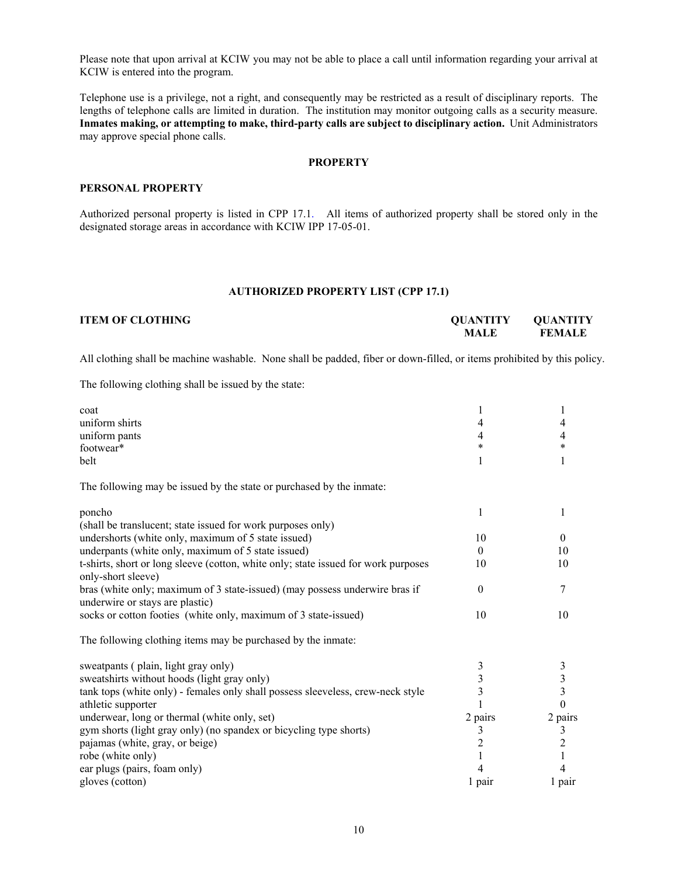Please note that upon arrival at KCIW you may not be able to place a call until information regarding your arrival at KCIW is entered into the program.

Telephone use is a privilege, not a right, and consequently may be restricted as a result of disciplinary reports. The lengths of telephone calls are limited in duration. The institution may monitor outgoing calls as a security measure. **Inmates making, or attempting to make, third-party calls are subject to disciplinary action.** Unit Administrators may approve special phone calls.

#### **PROPERTY**

#### **PERSONAL PROPERTY**

Authorized personal property is listed in CPP 17.1. All items of authorized property shall be stored only in the designated storage areas in accordance with KCIW IPP 17-05-01.

## **AUTHORIZED PROPERTY LIST (CPP 17.1)**

| <b>ITEM OF CLOTHING</b> | <b>OUANTITY</b> | OUANTITY      |
|-------------------------|-----------------|---------------|
|                         | MALE            | <b>FEMALE</b> |
|                         |                 |               |

All clothing shall be machine washable. None shall be padded, fiber or down-filled, or items prohibited by this policy.

The following clothing shall be issued by the state:

| coat                                                                                                           |                         | 1                       |
|----------------------------------------------------------------------------------------------------------------|-------------------------|-------------------------|
| uniform shirts                                                                                                 | 4                       | 4                       |
| uniform pants                                                                                                  | 4                       | 4                       |
| footwear*                                                                                                      | *                       | *                       |
| belt                                                                                                           | 1                       | 1                       |
| The following may be issued by the state or purchased by the inmate:                                           |                         |                         |
| poncho                                                                                                         | 1                       | 1                       |
| (shall be translucent; state issued for work purposes only)                                                    |                         |                         |
| undershorts (white only, maximum of 5 state issued)                                                            | 10                      | $\Omega$                |
| underpants (white only, maximum of 5 state issued)                                                             | $\theta$                | 10                      |
| t-shirts, short or long sleeve (cotton, white only; state issued for work purposes<br>only-short sleeve)       | 10                      | 10                      |
| bras (white only; maximum of 3 state-issued) (may possess underwire bras if<br>underwire or stays are plastic) | $\theta$                | 7                       |
| socks or cotton footies (white only, maximum of 3 state-issued)                                                | 10                      | 10                      |
| The following clothing items may be purchased by the inmate:                                                   |                         |                         |
| sweatpants (plain, light gray only)                                                                            | 3                       | 3                       |
| sweatshirts without hoods (light gray only)                                                                    | $\overline{\mathbf{3}}$ | $\overline{\mathbf{3}}$ |
| tank tops (white only) - females only shall possess sleeveless, crew-neck style                                | $\overline{3}$          | 3                       |
| athletic supporter                                                                                             | 1                       | $\theta$                |
| underwear, long or thermal (white only, set)                                                                   | 2 pairs                 | 2 pairs                 |
| gym shorts (light gray only) (no spandex or bicycling type shorts)                                             | 3                       | 3                       |
| pajamas (white, gray, or beige)                                                                                | $\overline{c}$          | $\overline{2}$          |
| robe (white only)                                                                                              | 1                       | 1                       |
| ear plugs (pairs, foam only)                                                                                   | 4                       | 4                       |
| gloves (cotton)                                                                                                | 1 pair                  | 1 pair                  |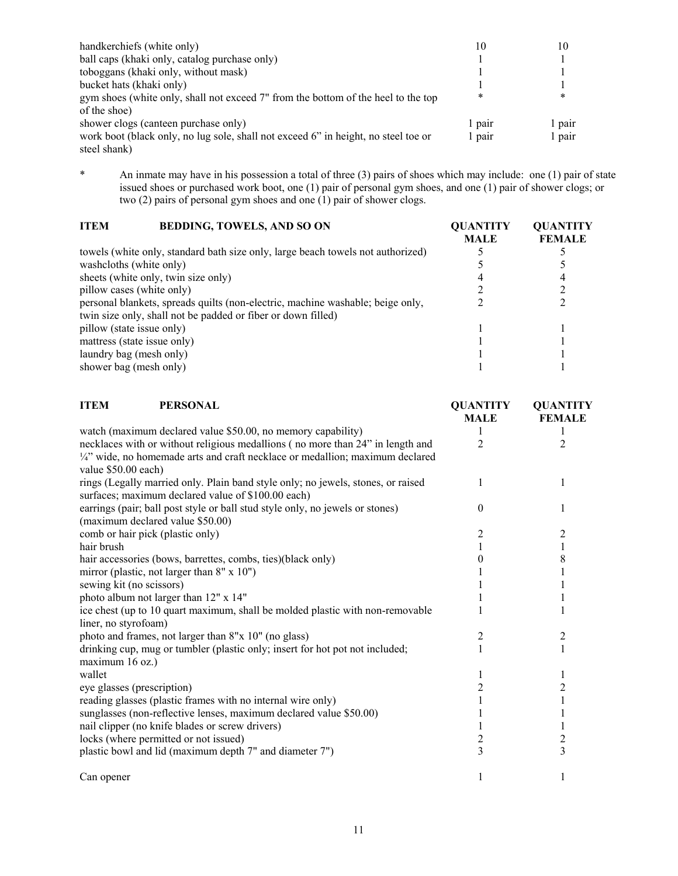| handkerchiefs (white only)                                                         | 10     | 10     |
|------------------------------------------------------------------------------------|--------|--------|
| ball caps (khaki only, catalog purchase only)                                      |        |        |
| toboggans (khaki only, without mask)                                               |        |        |
| bucket hats (khaki only)                                                           |        |        |
| gym shoes (white only, shall not exceed 7" from the bottom of the heel to the top  | ∗      | *      |
| of the shoe)                                                                       |        |        |
| shower clogs (canteen purchase only)                                               | 1 pair | 1 pair |
| work boot (black only, no lug sole, shall not exceed 6" in height, no steel toe or | 1 pair | 1 pair |
| steel shank)                                                                       |        |        |

\* An inmate may have in his possession a total of three (3) pairs of shoes which may include: one (1) pair of state issued shoes or purchased work boot, one (1) pair of personal gym shoes, and one (1) pair of shower clogs; or two (2) pairs of personal gym shoes and one (1) pair of shower clogs.

| <b>BEDDING, TOWELS, AND SO ON</b><br><b>ITEM</b>                                | <b>OUANTITY</b><br><b>MALE</b> | <b>OUANTITY</b><br><b>FEMALE</b> |
|---------------------------------------------------------------------------------|--------------------------------|----------------------------------|
| towels (white only, standard bath size only, large beach towels not authorized) |                                |                                  |
| washcloths (white only)                                                         |                                |                                  |
| sheets (white only, twin size only)                                             |                                |                                  |
| pillow cases (white only)                                                       |                                |                                  |
| personal blankets, spreads quilts (non-electric, machine washable; beige only,  |                                |                                  |
| twin size only, shall not be padded or fiber or down filled)                    |                                |                                  |
| pillow (state issue only)                                                       |                                |                                  |
| mattress (state issue only)                                                     |                                |                                  |
| laundry bag (mesh only)                                                         |                                |                                  |
| shower bag (mesh only)                                                          |                                |                                  |

| <b>PERSONAL</b><br><b>ITEM</b>                                                   | <b>QUANTITY</b> | <b>OUANTITY</b> |
|----------------------------------------------------------------------------------|-----------------|-----------------|
|                                                                                  | <b>MALE</b>     | <b>FEMALE</b>   |
| watch (maximum declared value \$50.00, no memory capability)                     |                 |                 |
| necklaces with or without religious medallions (no more than 24" in length and   | 2               | 2               |
| 1/4" wide, no homemade arts and craft necklace or medallion; maximum declared    |                 |                 |
| value \$50.00 each)                                                              |                 |                 |
| rings (Legally married only. Plain band style only; no jewels, stones, or raised |                 |                 |
| surfaces; maximum declared value of \$100.00 each)                               |                 |                 |
| earrings (pair; ball post style or ball stud style only, no jewels or stones)    | 0               |                 |
| (maximum declared value \$50.00)                                                 |                 |                 |
| comb or hair pick (plastic only)                                                 | 2               | 2               |
| hair brush                                                                       |                 | $\mathbf{1}$    |
| hair accessories (bows, barrettes, combs, ties)(black only)                      | 0               | 8               |
| mirror (plastic, not larger than 8" x 10")                                       |                 |                 |
| sewing kit (no scissors)                                                         |                 |                 |
| photo album not larger than 12" x 14"                                            |                 |                 |
| ice chest (up to 10 quart maximum, shall be molded plastic with non-removable    |                 |                 |
| liner, no styrofoam)                                                             |                 |                 |
| photo and frames, not larger than 8"x 10" (no glass)                             | 2               | 2               |
| drinking cup, mug or tumbler (plastic only; insert for hot pot not included;     |                 | 1               |
| maximum 16 oz.)                                                                  |                 |                 |
| wallet                                                                           |                 | 1               |
| eye glasses (prescription)                                                       |                 | $\overline{c}$  |
| reading glasses (plastic frames with no internal wire only)                      |                 |                 |
| sunglasses (non-reflective lenses, maximum declared value \$50.00)               |                 |                 |
| nail clipper (no knife blades or screw drivers)                                  |                 | 1               |
| locks (where permitted or not issued)                                            | $\overline{c}$  | $\overline{c}$  |
| plastic bowl and lid (maximum depth 7" and diameter 7")                          | $\overline{3}$  | $\overline{3}$  |
| Can opener                                                                       | 1               | 1               |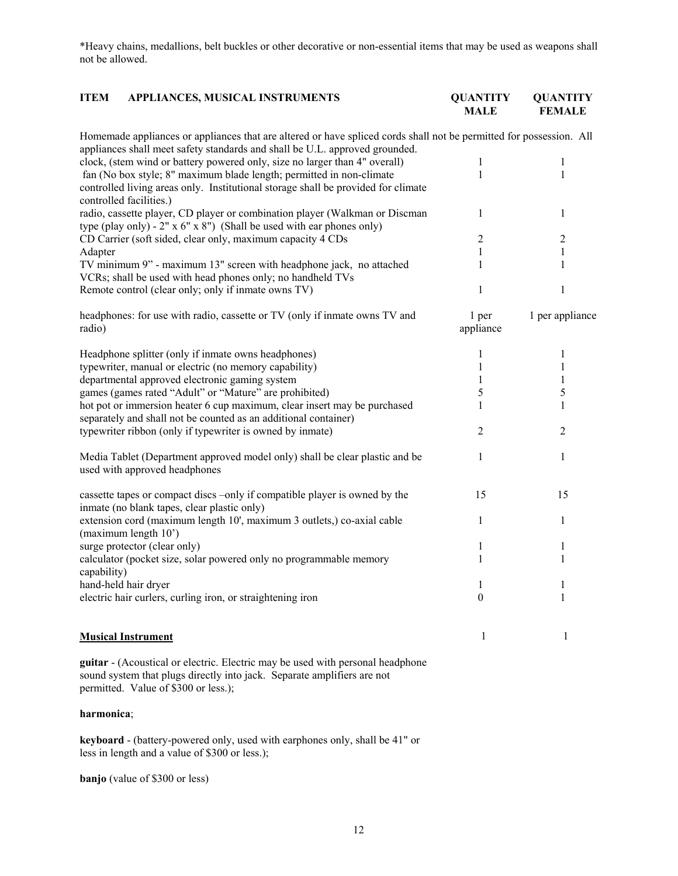\*Heavy chains, medallions, belt buckles or other decorative or non-essential items that may be used as weapons shall not be allowed.

| <b>ITEM</b> | <b>APPLIANCES, MUSICAL INSTRUMENTS</b> | <b>OUANTITY</b> | QUANTITY      |
|-------------|----------------------------------------|-----------------|---------------|
|             |                                        | <b>MALE</b>     | <b>FEMALE</b> |

| Homemade appliances or appliances that are altered or have spliced cords shall not be permitted for possession. All<br>appliances shall meet safety standards and shall be U.L. approved grounded. |                    |                 |
|----------------------------------------------------------------------------------------------------------------------------------------------------------------------------------------------------|--------------------|-----------------|
| clock, (stem wind or battery powered only, size no larger than 4" overall)                                                                                                                         | 1                  | 1               |
| fan (No box style; 8" maximum blade length; permitted in non-climate                                                                                                                               | 1                  | 1               |
| controlled living areas only. Institutional storage shall be provided for climate<br>controlled facilities.)                                                                                       |                    |                 |
| radio, cassette player, CD player or combination player (Walkman or Discman<br>type (play only) - $2" \times 6" \times 8"$ ) (Shall be used with ear phones only)                                  | 1                  | 1               |
| CD Carrier (soft sided, clear only, maximum capacity 4 CDs                                                                                                                                         | $\overline{2}$     | $\overline{2}$  |
| Adapter                                                                                                                                                                                            | 1                  | 1               |
| TV minimum 9" - maximum 13" screen with headphone jack, no attached<br>VCRs; shall be used with head phones only; no handheld TVs                                                                  | 1                  | 1               |
| Remote control (clear only; only if inmate owns TV)                                                                                                                                                | 1                  | $\mathbf{1}$    |
| headphones: for use with radio, cassette or TV (only if inmate owns TV and<br>radio)                                                                                                               | 1 per<br>appliance | 1 per appliance |
| Headphone splitter (only if inmate owns headphones)                                                                                                                                                | 1                  | 1               |
| typewriter, manual or electric (no memory capability)                                                                                                                                              | $\mathbf{1}$       | 1               |
| departmental approved electronic gaming system                                                                                                                                                     | 1                  | 1               |
| games (games rated "Adult" or "Mature" are prohibited)                                                                                                                                             | 5                  | 5               |
| hot pot or immersion heater 6 cup maximum, clear insert may be purchased<br>separately and shall not be counted as an additional container)                                                        | 1                  | 1               |
| typewriter ribbon (only if typewriter is owned by inmate)                                                                                                                                          | 2                  | 2               |
| Media Tablet (Department approved model only) shall be clear plastic and be<br>used with approved headphones                                                                                       | 1                  | 1               |
| cassette tapes or compact discs -only if compatible player is owned by the<br>inmate (no blank tapes, clear plastic only)                                                                          | 15                 | 15              |
| extension cord (maximum length 10', maximum 3 outlets,) co-axial cable<br>(maximum length 10')                                                                                                     | 1                  | $\mathbf{1}$    |
| surge protector (clear only)                                                                                                                                                                       | 1                  | 1               |
| calculator (pocket size, solar powered only no programmable memory<br>capability)                                                                                                                  | 1                  | 1               |
| hand-held hair dryer                                                                                                                                                                               | 1                  | 1               |
| electric hair curlers, curling iron, or straightening iron                                                                                                                                         | $\boldsymbol{0}$   | 1               |
| <b>Musical Instrument</b>                                                                                                                                                                          | 1                  | 1               |

**guitar** - (Acoustical or electric. Electric may be used with personal headphone sound system that plugs directly into jack. Separate amplifiers are not permitted. Value of \$300 or less.);

# **harmonica**;

**keyboard** - (battery-powered only, used with earphones only, shall be 41" or less in length and a value of \$300 or less.);

**banjo** (value of \$300 or less)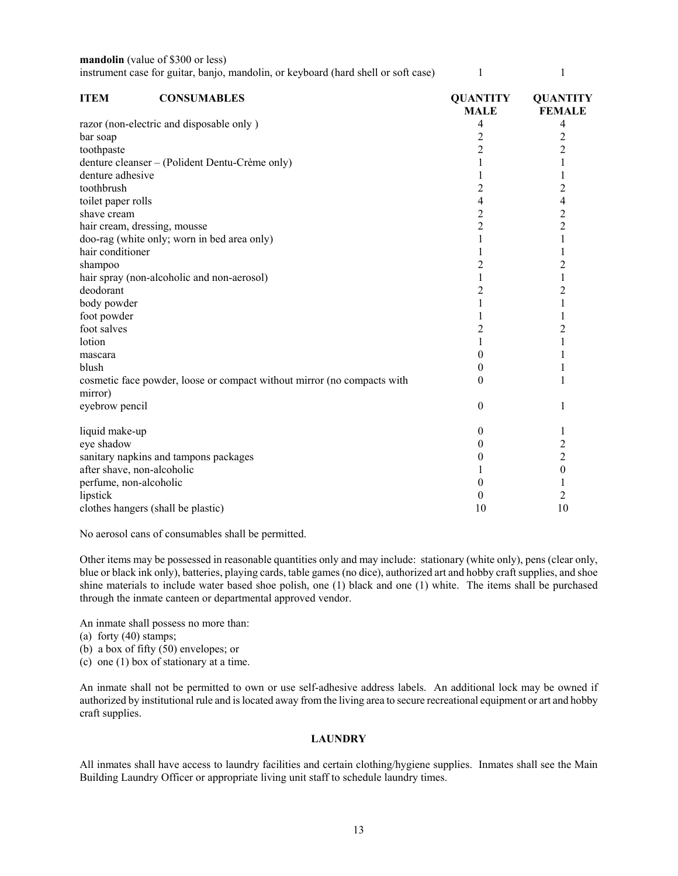**mandolin** (value of \$300 or less) instrument case for guitar, banjo, mandolin, or keyboard (hard shell or soft case) 1 1 1 1

| <b>ITEM</b>                | <b>CONSUMABLES</b>                                                      | <b>QUANTITY</b><br><b>MALE</b> | <b>QUANTITY</b><br><b>FEMALE</b> |
|----------------------------|-------------------------------------------------------------------------|--------------------------------|----------------------------------|
|                            | razor (non-electric and disposable only)                                | 4                              | 4                                |
| bar soap                   |                                                                         | 2                              | 2                                |
| toothpaste                 |                                                                         | $\overline{c}$                 | $\overline{c}$                   |
|                            | denture cleanser – (Polident Dentu-Crème only)                          |                                | $\mathbf{1}$                     |
| denture adhesive           |                                                                         | 1                              | 1                                |
| toothbrush                 |                                                                         | $\overline{c}$                 | $\overline{c}$                   |
| toilet paper rolls         |                                                                         | 4                              | 4                                |
| shave cream                |                                                                         | $\overline{c}$                 | $\overline{c}$                   |
|                            | hair cream, dressing, mousse                                            | $\overline{c}$                 | $\overline{2}$                   |
|                            | doo-rag (white only; worn in bed area only)                             | 1                              | 1                                |
| hair conditioner           |                                                                         |                                | 1                                |
| shampoo                    |                                                                         | 2                              | $\overline{c}$                   |
|                            | hair spray (non-alcoholic and non-aerosol)                              | 1                              | $\mathbf{1}$                     |
| deodorant                  |                                                                         | $\overline{c}$                 | $\overline{c}$                   |
| body powder                |                                                                         | 1                              | $\mathbf{1}$                     |
| foot powder                |                                                                         |                                |                                  |
| foot salves                |                                                                         | $\overline{c}$                 | $\overline{c}$                   |
| lotion                     |                                                                         | 1                              | $\mathbf{1}$                     |
| mascara                    |                                                                         | 0                              |                                  |
| blush                      |                                                                         | 0                              |                                  |
| mirror)                    | cosmetic face powder, loose or compact without mirror (no compacts with | 0                              | 1                                |
| eyebrow pencil             |                                                                         | 0                              | 1                                |
| liquid make-up             |                                                                         | 0                              | 1                                |
| eye shadow                 |                                                                         | 0                              | $\overline{\mathbf{c}}$          |
|                            | sanitary napkins and tampons packages                                   | 0                              | $\overline{c}$                   |
| after shave, non-alcoholic |                                                                         |                                | $\boldsymbol{0}$                 |
| perfume, non-alcoholic     |                                                                         | 0                              | 1                                |
| lipstick                   |                                                                         | 0                              | $\overline{c}$                   |
|                            | clothes hangers (shall be plastic)                                      | 10                             | 10                               |

No aerosol cans of consumables shall be permitted.

Other items may be possessed in reasonable quantities only and may include: stationary (white only), pens (clear only, blue or black ink only), batteries, playing cards, table games (no dice), authorized art and hobby craft supplies, and shoe shine materials to include water based shoe polish, one (1) black and one (1) white. The items shall be purchased through the inmate canteen or departmental approved vendor.

An inmate shall possess no more than:

(a) forty (40) stamps;

(b) a box of fifty (50) envelopes; or

(c) one (1) box of stationary at a time.

An inmate shall not be permitted to own or use self-adhesive address labels. An additional lock may be owned if authorized by institutional rule and is located away from the living area to secure recreational equipment or art and hobby craft supplies.

## **LAUNDRY**

All inmates shall have access to laundry facilities and certain clothing/hygiene supplies. Inmates shall see the Main Building Laundry Officer or appropriate living unit staff to schedule laundry times.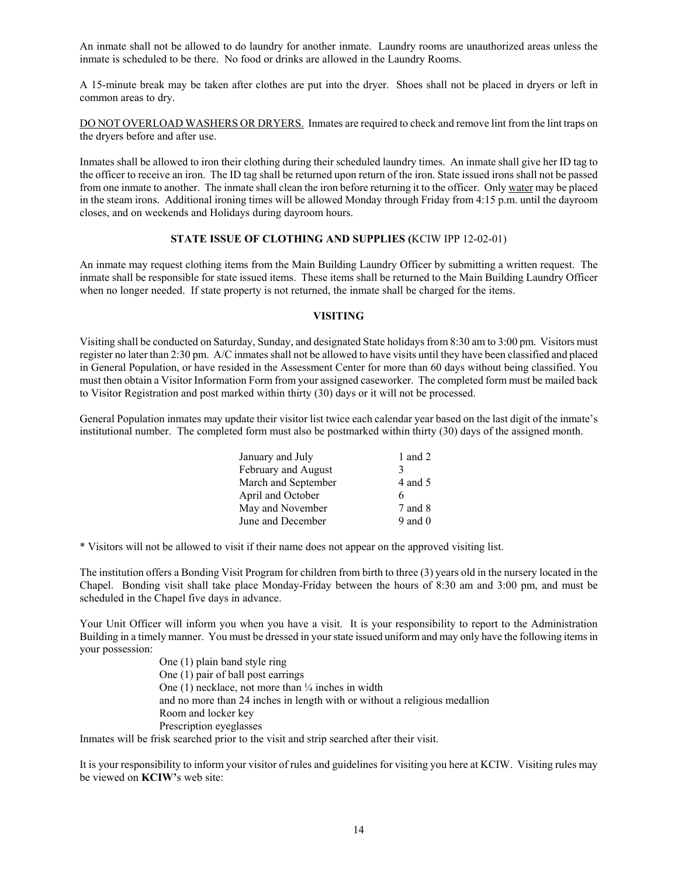An inmate shall not be allowed to do laundry for another inmate. Laundry rooms are unauthorized areas unless the inmate is scheduled to be there. No food or drinks are allowed in the Laundry Rooms.

A 15-minute break may be taken after clothes are put into the dryer. Shoes shall not be placed in dryers or left in common areas to dry.

DO NOT OVERLOAD WASHERS OR DRYERS. Inmates are required to check and remove lint from the lint traps on the dryers before and after use.

Inmates shall be allowed to iron their clothing during their scheduled laundry times. An inmate shall give her ID tag to the officer to receive an iron. The ID tag shall be returned upon return of the iron. State issued irons shall not be passed from one inmate to another. The inmate shall clean the iron before returning it to the officer. Only water may be placed in the steam irons. Additional ironing times will be allowed Monday through Friday from 4:15 p.m. until the dayroom closes, and on weekends and Holidays during dayroom hours.

## **STATE ISSUE OF CLOTHING AND SUPPLIES (**KCIW IPP 12-02-01)

An inmate may request clothing items from the Main Building Laundry Officer by submitting a written request. The inmate shall be responsible for state issued items. These items shall be returned to the Main Building Laundry Officer when no longer needed. If state property is not returned, the inmate shall be charged for the items.

## **VISITING**

Visiting shall be conducted on Saturday, Sunday, and designated State holidays from 8:30 am to 3:00 pm. Visitors must register no later than 2:30 pm. A/C inmates shall not be allowed to have visits until they have been classified and placed in General Population, or have resided in the Assessment Center for more than 60 days without being classified. You must then obtain a Visitor Information Form from your assigned caseworker. The completed form must be mailed back to Visitor Registration and post marked within thirty (30) days or it will not be processed.

General Population inmates may update their visitor list twice each calendar year based on the last digit of the inmate's institutional number. The completed form must also be postmarked within thirty (30) days of the assigned month.

| January and July    | 1 and 2     |
|---------------------|-------------|
| February and August | 3           |
| March and September | 4 and 5     |
| April and October   | 6           |
| May and November    | 7 and 8     |
| June and December   | $9$ and $0$ |

\* Visitors will not be allowed to visit if their name does not appear on the approved visiting list.

The institution offers a Bonding Visit Program for children from birth to three (3) years old in the nursery located in the Chapel. Bonding visit shall take place Monday-Friday between the hours of 8:30 am and 3:00 pm, and must be scheduled in the Chapel five days in advance.

Your Unit Officer will inform you when you have a visit. It is your responsibility to report to the Administration Building in a timely manner. You must be dressed in your state issued uniform and may only have the following items in your possession:

> One (1) plain band style ring One (1) pair of ball post earrings One  $(1)$  necklace, not more than  $\frac{1}{4}$  inches in width and no more than 24 inches in length with or without a religious medallion Room and locker key Prescription eyeglasses

Inmates will be frisk searched prior to the visit and strip searched after their visit.

It is your responsibility to inform your visitor of rules and guidelines for visiting you here at KCIW. Visiting rules may be viewed on **KCIW'**s web site: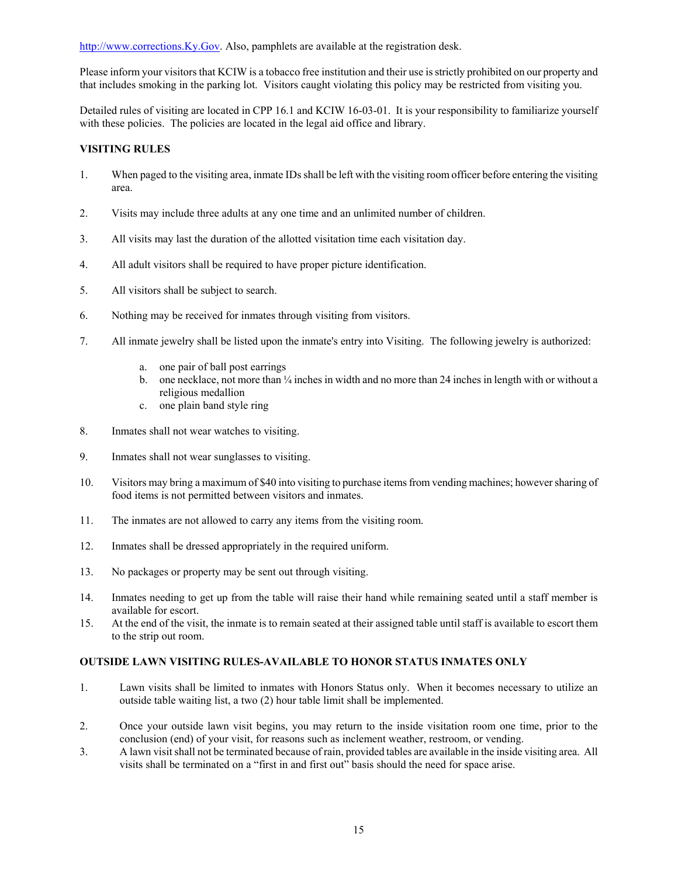[http://www.corrections.Ky.Gov.](http://www.corrections.ky.gov/) Also, pamphlets are available at the registration desk.

Please inform your visitors that KCIW is a tobacco free institution and their use is strictly prohibited on our property and that includes smoking in the parking lot. Visitors caught violating this policy may be restricted from visiting you.

Detailed rules of visiting are located in CPP 16.1 and KCIW 16-03-01. It is your responsibility to familiarize yourself with these policies. The policies are located in the legal aid office and library.

# **VISITING RULES**

- 1. When paged to the visiting area, inmate IDs shall be left with the visiting room officer before entering the visiting area.
- 2. Visits may include three adults at any one time and an unlimited number of children.
- 3. All visits may last the duration of the allotted visitation time each visitation day.
- 4. All adult visitors shall be required to have proper picture identification.
- 5. All visitors shall be subject to search.
- 6. Nothing may be received for inmates through visiting from visitors.
- 7. All inmate jewelry shall be listed upon the inmate's entry into Visiting. The following jewelry is authorized:
	- a. one pair of ball post earrings
	- b. one necklace, not more than  $\frac{1}{4}$  inches in width and no more than 24 inches in length with or without a religious medallion
	- c. one plain band style ring
- 8. Inmates shall not wear watches to visiting.
- 9. Inmates shall not wear sunglasses to visiting.
- 10. Visitors may bring a maximum of \$40 into visiting to purchase items from vending machines; however sharing of food items is not permitted between visitors and inmates.
- 11. The inmates are not allowed to carry any items from the visiting room.
- 12. Inmates shall be dressed appropriately in the required uniform.
- 13. No packages or property may be sent out through visiting.
- 14. Inmates needing to get up from the table will raise their hand while remaining seated until a staff member is available for escort.
- 15. At the end of the visit, the inmate is to remain seated at their assigned table until staff is available to escort them to the strip out room.

## **OUTSIDE LAWN VISITING RULES-AVAILABLE TO HONOR STATUS INMATES ONLY**

- 1. Lawn visits shall be limited to inmates with Honors Status only. When it becomes necessary to utilize an outside table waiting list, a two (2) hour table limit shall be implemented.
- 2. Once your outside lawn visit begins, you may return to the inside visitation room one time, prior to the conclusion (end) of your visit, for reasons such as inclement weather, restroom, or vending.
- 3. A lawn visit shall not be terminated because of rain, provided tables are available in the inside visiting area. All visits shall be terminated on a "first in and first out" basis should the need for space arise.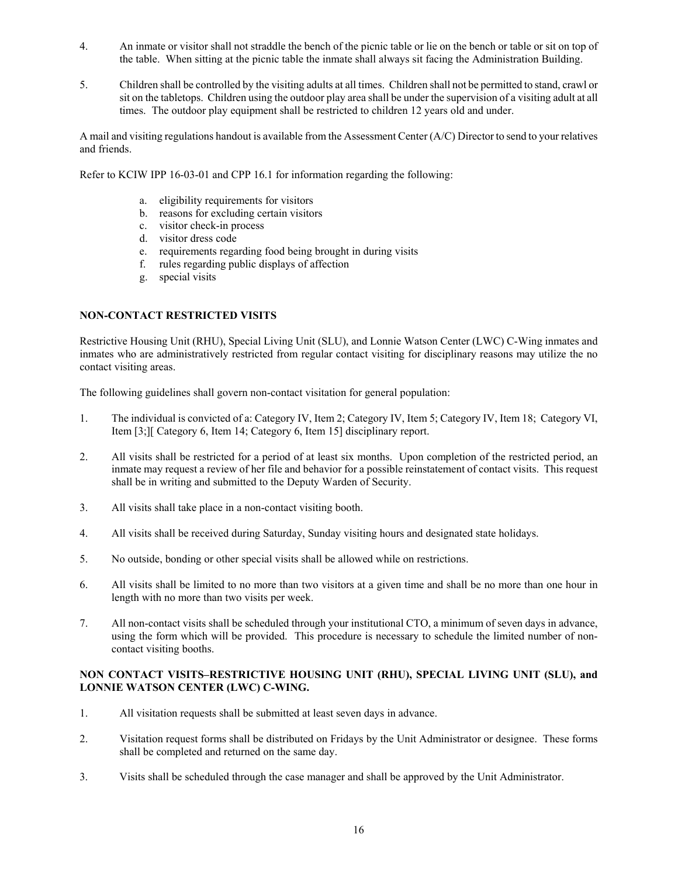- 4. An inmate or visitor shall not straddle the bench of the picnic table or lie on the bench or table or sit on top of the table. When sitting at the picnic table the inmate shall always sit facing the Administration Building.
- 5. Children shall be controlled by the visiting adults at all times. Children shall not be permitted to stand, crawl or sit on the tabletops. Children using the outdoor play area shall be under the supervision of a visiting adult at all times. The outdoor play equipment shall be restricted to children 12 years old and under.

A mail and visiting regulations handout is available from the Assessment Center (A/C) Director to send to your relatives and friends.

Refer to KCIW IPP 16-03-01 and CPP 16.1 for information regarding the following:

- a. eligibility requirements for visitors
- b. reasons for excluding certain visitors
- c. visitor check-in process
- d. visitor dress code
- e. requirements regarding food being brought in during visits
- f. rules regarding public displays of affection
- g. special visits

## **NON-CONTACT RESTRICTED VISITS**

Restrictive Housing Unit (RHU), Special Living Unit (SLU), and Lonnie Watson Center (LWC) C-Wing inmates and inmates who are administratively restricted from regular contact visiting for disciplinary reasons may utilize the no contact visiting areas.

The following guidelines shall govern non-contact visitation for general population:

- 1. The individual is convicted of a: Category IV, Item 2; Category IV, Item 5; Category IV, Item 18; Category VI, Item [3;][ Category 6, Item 14; Category 6, Item 15] disciplinary report.
- 2. All visits shall be restricted for a period of at least six months. Upon completion of the restricted period, an inmate may request a review of her file and behavior for a possible reinstatement of contact visits. This request shall be in writing and submitted to the Deputy Warden of Security.
- 3. All visits shall take place in a non-contact visiting booth.
- 4. All visits shall be received during Saturday, Sunday visiting hours and designated state holidays.
- 5. No outside, bonding or other special visits shall be allowed while on restrictions.
- 6. All visits shall be limited to no more than two visitors at a given time and shall be no more than one hour in length with no more than two visits per week.
- 7. All non-contact visits shall be scheduled through your institutional CTO, a minimum of seven days in advance, using the form which will be provided. This procedure is necessary to schedule the limited number of noncontact visiting booths.

## **NON CONTACT VISITS–RESTRICTIVE HOUSING UNIT (RHU), SPECIAL LIVING UNIT (SLU), and LONNIE WATSON CENTER (LWC) C-WING.**

- 1. All visitation requests shall be submitted at least seven days in advance.
- 2. Visitation request forms shall be distributed on Fridays by the Unit Administrator or designee. These forms shall be completed and returned on the same day.
- 3. Visits shall be scheduled through the case manager and shall be approved by the Unit Administrator.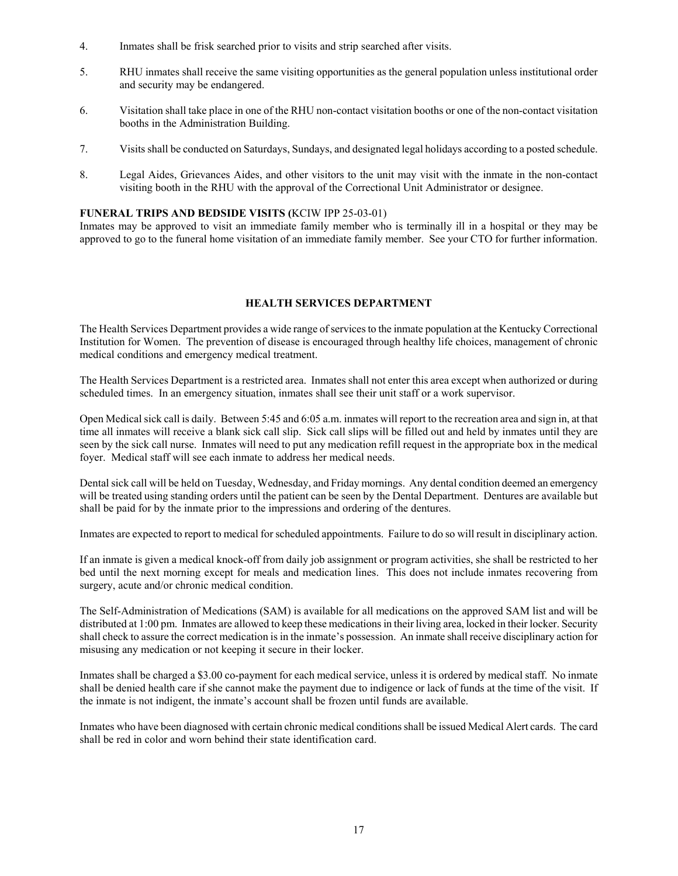- 4. Inmates shall be frisk searched prior to visits and strip searched after visits.
- 5. RHU inmates shall receive the same visiting opportunities as the general population unless institutional order and security may be endangered.
- 6. Visitation shall take place in one of the RHU non-contact visitation booths or one of the non-contact visitation booths in the Administration Building.
- 7. Visits shall be conducted on Saturdays, Sundays, and designated legal holidays according to a posted schedule.
- 8. Legal Aides, Grievances Aides, and other visitors to the unit may visit with the inmate in the non-contact visiting booth in the RHU with the approval of the Correctional Unit Administrator or designee.

#### **FUNERAL TRIPS AND BEDSIDE VISITS (**KCIW IPP 25-03-01)

Inmates may be approved to visit an immediate family member who is terminally ill in a hospital or they may be approved to go to the funeral home visitation of an immediate family member. See your CTO for further information.

### **HEALTH SERVICES DEPARTMENT**

The Health Services Department provides a wide range of services to the inmate population at the Kentucky Correctional Institution for Women. The prevention of disease is encouraged through healthy life choices, management of chronic medical conditions and emergency medical treatment.

The Health Services Department is a restricted area. Inmates shall not enter this area except when authorized or during scheduled times. In an emergency situation, inmates shall see their unit staff or a work supervisor.

Open Medical sick call is daily. Between 5:45 and 6:05 a.m. inmates will report to the recreation area and sign in, at that time all inmates will receive a blank sick call slip. Sick call slips will be filled out and held by inmates until they are seen by the sick call nurse. Inmates will need to put any medication refill request in the appropriate box in the medical foyer. Medical staff will see each inmate to address her medical needs.

Dental sick call will be held on Tuesday, Wednesday, and Friday mornings. Any dental condition deemed an emergency will be treated using standing orders until the patient can be seen by the Dental Department. Dentures are available but shall be paid for by the inmate prior to the impressions and ordering of the dentures.

Inmates are expected to report to medical for scheduled appointments. Failure to do so will result in disciplinary action.

If an inmate is given a medical knock-off from daily job assignment or program activities, she shall be restricted to her bed until the next morning except for meals and medication lines. This does not include inmates recovering from surgery, acute and/or chronic medical condition.

The Self-Administration of Medications (SAM) is available for all medications on the approved SAM list and will be distributed at 1:00 pm. Inmates are allowed to keep these medications in their living area, locked in their locker. Security shall check to assure the correct medication is in the inmate's possession. An inmate shall receive disciplinary action for misusing any medication or not keeping it secure in their locker.

Inmates shall be charged a \$3.00 co-payment for each medical service, unless it is ordered by medical staff. No inmate shall be denied health care if she cannot make the payment due to indigence or lack of funds at the time of the visit. If the inmate is not indigent, the inmate's account shall be frozen until funds are available.

Inmates who have been diagnosed with certain chronic medical conditions shall be issued Medical Alert cards. The card shall be red in color and worn behind their state identification card.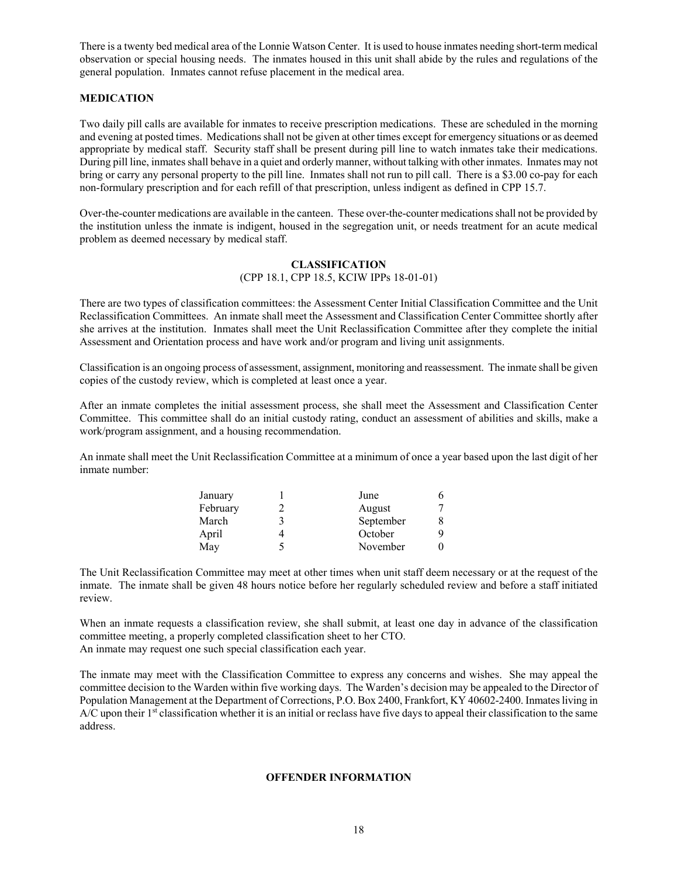There is a twenty bed medical area of the Lonnie Watson Center. It is used to house inmates needing short-term medical observation or special housing needs. The inmates housed in this unit shall abide by the rules and regulations of the general population. Inmates cannot refuse placement in the medical area.

## **MEDICATION**

Two daily pill calls are available for inmates to receive prescription medications. These are scheduled in the morning and evening at posted times. Medications shall not be given at other times except for emergency situations or as deemed appropriate by medical staff. Security staff shall be present during pill line to watch inmates take their medications. During pill line, inmates shall behave in a quiet and orderly manner, without talking with other inmates. Inmates may not bring or carry any personal property to the pill line. Inmates shall not run to pill call. There is a \$3.00 co-pay for each non-formulary prescription and for each refill of that prescription, unless indigent as defined in CPP 15.7.

Over-the-counter medications are available in the canteen. These over-the-counter medications shall not be provided by the institution unless the inmate is indigent, housed in the segregation unit, or needs treatment for an acute medical problem as deemed necessary by medical staff.

#### **CLASSIFICATION** (CPP 18.1, CPP 18.5, KCIW IPPs 18-01-01)

There are two types of classification committees: the Assessment Center Initial Classification Committee and the Unit Reclassification Committees. An inmate shall meet the Assessment and Classification Center Committee shortly after she arrives at the institution. Inmates shall meet the Unit Reclassification Committee after they complete the initial Assessment and Orientation process and have work and/or program and living unit assignments.

Classification is an ongoing process of assessment, assignment, monitoring and reassessment. The inmate shall be given copies of the custody review, which is completed at least once a year.

After an inmate completes the initial assessment process, she shall meet the Assessment and Classification Center Committee. This committee shall do an initial custody rating, conduct an assessment of abilities and skills, make a work/program assignment, and a housing recommendation.

An inmate shall meet the Unit Reclassification Committee at a minimum of once a year based upon the last digit of her inmate number:

| January  |   | June      |  |
|----------|---|-----------|--|
| February |   | August    |  |
| March    | 3 | September |  |
| April    |   | October   |  |
| May      |   | November  |  |

The Unit Reclassification Committee may meet at other times when unit staff deem necessary or at the request of the inmate. The inmate shall be given 48 hours notice before her regularly scheduled review and before a staff initiated review.

When an inmate requests a classification review, she shall submit, at least one day in advance of the classification committee meeting, a properly completed classification sheet to her CTO. An inmate may request one such special classification each year.

The inmate may meet with the Classification Committee to express any concerns and wishes. She may appeal the committee decision to the Warden within five working days. The Warden's decision may be appealed to the Director of Population Management at the Department of Corrections, P.O. Box 2400, Frankfort, KY 40602-2400. Inmates living in  $A/C$  upon their  $1<sup>st</sup>$  classification whether it is an initial or reclass have five days to appeal their classification to the same address.

#### **OFFENDER INFORMATION**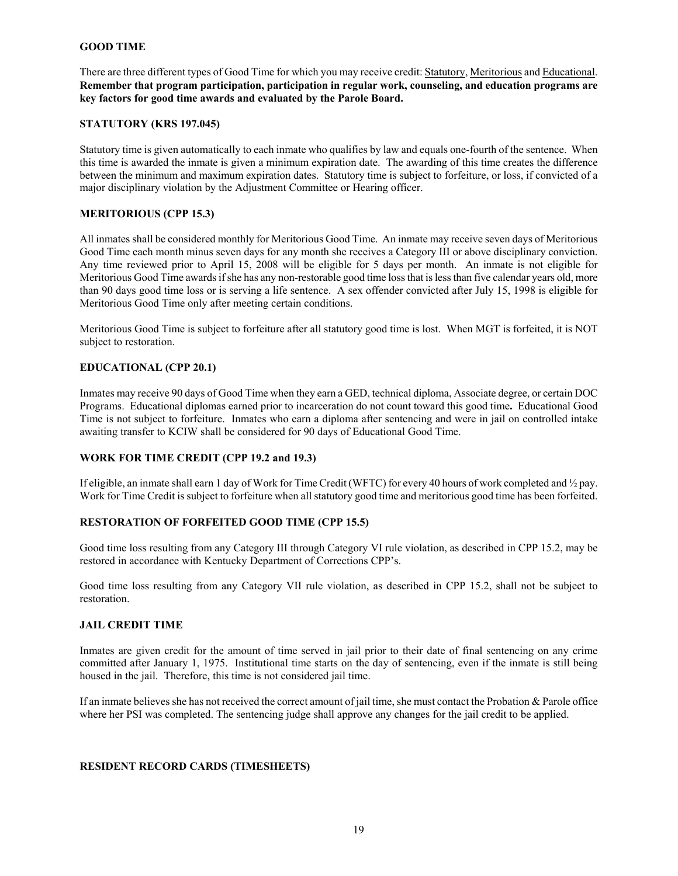#### **GOOD TIME**

There are three different types of Good Time for which you may receive credit: Statutory, Meritorious and Educational. **Remember that program participation, participation in regular work, counseling, and education programs are key factors for good time awards and evaluated by the Parole Board.**

## **STATUTORY (KRS 197.045)**

Statutory time is given automatically to each inmate who qualifies by law and equals one-fourth of the sentence. When this time is awarded the inmate is given a minimum expiration date. The awarding of this time creates the difference between the minimum and maximum expiration dates. Statutory time is subject to forfeiture, or loss, if convicted of a major disciplinary violation by the Adjustment Committee or Hearing officer.

## **MERITORIOUS (CPP 15.3)**

All inmates shall be considered monthly for Meritorious Good Time. An inmate may receive seven days of Meritorious Good Time each month minus seven days for any month she receives a Category III or above disciplinary conviction. Any time reviewed prior to April 15, 2008 will be eligible for 5 days per month. An inmate is not eligible for Meritorious Good Time awards if she has any non-restorable good time loss that is less than five calendar years old, more than 90 days good time loss or is serving a life sentence. A sex offender convicted after July 15, 1998 is eligible for Meritorious Good Time only after meeting certain conditions.

Meritorious Good Time is subject to forfeiture after all statutory good time is lost. When MGT is forfeited, it is NOT subject to restoration.

### **EDUCATIONAL (CPP 20.1)**

Inmates may receive 90 days of Good Time when they earn a GED, technical diploma, Associate degree, or certain DOC Programs. Educational diplomas earned prior to incarceration do not count toward this good time**.** Educational Good Time is not subject to forfeiture.Inmates who earn a diploma after sentencing and were in jail on controlled intake awaiting transfer to KCIW shall be considered for 90 days of Educational Good Time.

## **WORK FOR TIME CREDIT (CPP 19.2 and 19.3)**

If eligible, an inmate shall earn 1 day of Work for Time Credit (WFTC) for every 40 hours of work completed and ½ pay. Work for Time Credit is subject to forfeiture when all statutory good time and meritorious good time has been forfeited.

## **RESTORATION OF FORFEITED GOOD TIME (CPP 15.5)**

Good time loss resulting from any Category III through Category VI rule violation, as described in CPP 15.2, may be restored in accordance with Kentucky Department of Corrections CPP's.

Good time loss resulting from any Category VII rule violation, as described in CPP 15.2, shall not be subject to restoration.

#### **JAIL CREDIT TIME**

Inmates are given credit for the amount of time served in jail prior to their date of final sentencing on any crime committed after January 1, 1975. Institutional time starts on the day of sentencing, even if the inmate is still being housed in the jail. Therefore, this time is not considered jail time.

If an inmate believes she has not received the correct amount of jail time, she must contact the Probation & Parole office where her PSI was completed. The sentencing judge shall approve any changes for the jail credit to be applied.

## **RESIDENT RECORD CARDS (TIMESHEETS)**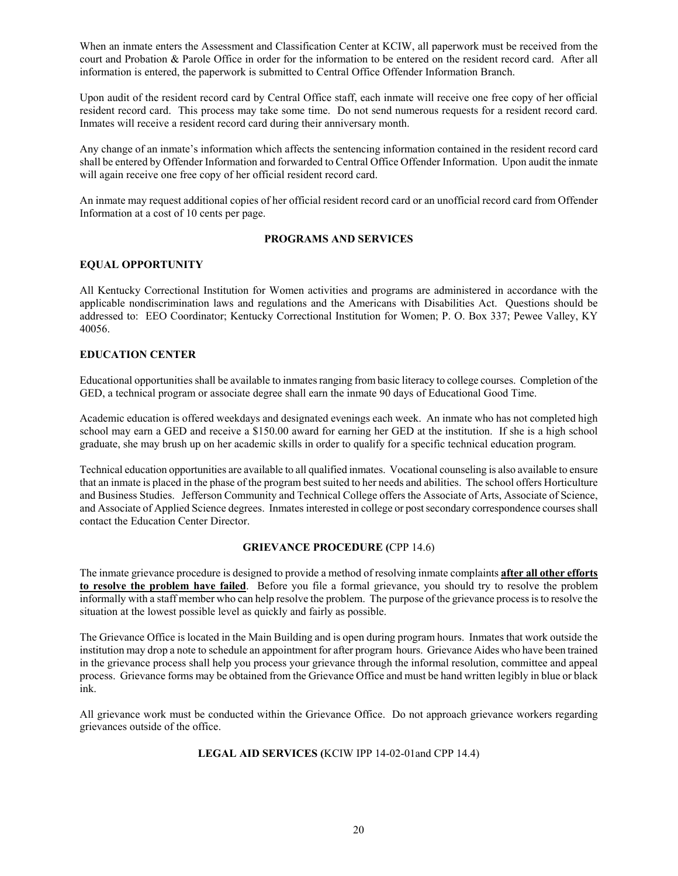When an inmate enters the Assessment and Classification Center at KCIW, all paperwork must be received from the court and Probation & Parole Office in order for the information to be entered on the resident record card. After all information is entered, the paperwork is submitted to Central Office Offender Information Branch.

Upon audit of the resident record card by Central Office staff, each inmate will receive one free copy of her official resident record card. This process may take some time. Do not send numerous requests for a resident record card. Inmates will receive a resident record card during their anniversary month.

Any change of an inmate's information which affects the sentencing information contained in the resident record card shall be entered by Offender Information and forwarded to Central Office Offender Information. Upon audit the inmate will again receive one free copy of her official resident record card.

An inmate may request additional copies of her official resident record card or an unofficial record card from Offender Information at a cost of 10 cents per page.

## **PROGRAMS AND SERVICES**

## **EQUAL OPPORTUNITY**

All Kentucky Correctional Institution for Women activities and programs are administered in accordance with the applicable nondiscrimination laws and regulations and the Americans with Disabilities Act. Questions should be addressed to: EEO Coordinator; Kentucky Correctional Institution for Women; P. O. Box 337; Pewee Valley, KY 40056.

### **EDUCATION CENTER**

Educational opportunities shall be available to inmates ranging from basic literacy to college courses. Completion of the GED, a technical program or associate degree shall earn the inmate 90 days of Educational Good Time.

Academic education is offered weekdays and designated evenings each week. An inmate who has not completed high school may earn a GED and receive a \$150.00 award for earning her GED at the institution. If she is a high school graduate, she may brush up on her academic skills in order to qualify for a specific technical education program.

Technical education opportunities are available to all qualified inmates. Vocational counseling is also available to ensure that an inmate is placed in the phase of the program best suited to her needs and abilities. The school offers Horticulture and Business Studies. Jefferson Community and Technical College offers the Associate of Arts, Associate of Science, and Associate of Applied Science degrees. Inmates interested in college or post secondary correspondence courses shall contact the Education Center Director.

## **GRIEVANCE PROCEDURE (**CPP 14.6)

The inmate grievance procedure is designed to provide a method of resolving inmate complaints **after all other efforts to resolve the problem have failed**. Before you file a formal grievance, you should try to resolve the problem informally with a staff member who can help resolve the problem. The purpose of the grievance process is to resolve the situation at the lowest possible level as quickly and fairly as possible.

The Grievance Office is located in the Main Building and is open during program hours. Inmates that work outside the institution may drop a note to schedule an appointment for after program hours. Grievance Aides who have been trained in the grievance process shall help you process your grievance through the informal resolution, committee and appeal process. Grievance forms may be obtained from the Grievance Office and must be hand written legibly in blue or black ink.

All grievance work must be conducted within the Grievance Office. Do not approach grievance workers regarding grievances outside of the office.

#### **LEGAL AID SERVICES (**KCIW IPP 14-02-01and CPP 14.4)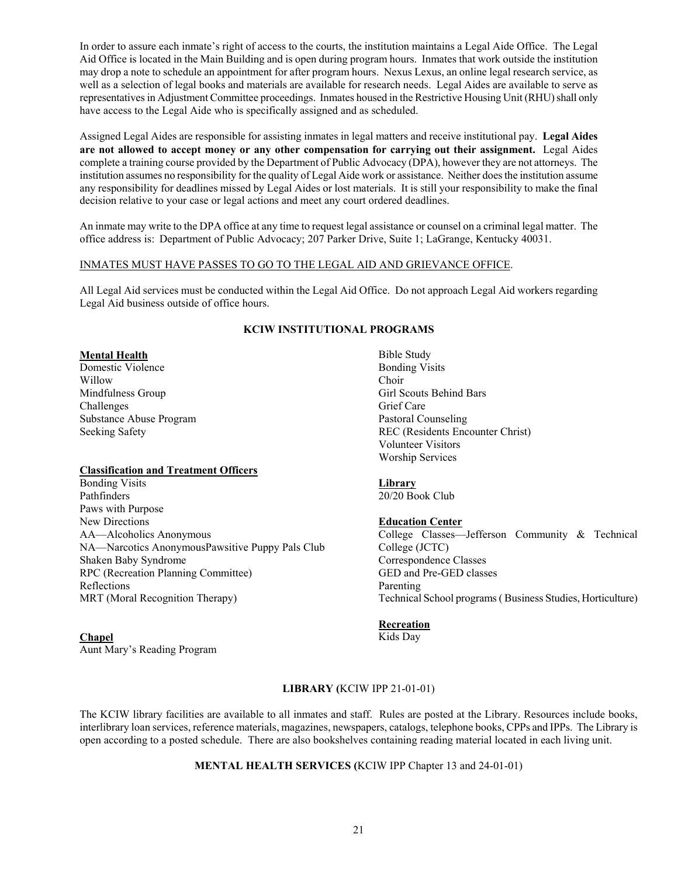In order to assure each inmate's right of access to the courts, the institution maintains a Legal Aide Office. The Legal Aid Office is located in the Main Building and is open during program hours. Inmates that work outside the institution may drop a note to schedule an appointment for after program hours. Nexus Lexus, an online legal research service, as well as a selection of legal books and materials are available for research needs. Legal Aides are available to serve as representatives in Adjustment Committee proceedings. Inmates housed in the Restrictive Housing Unit (RHU) shall only have access to the Legal Aide who is specifically assigned and as scheduled.

Assigned Legal Aides are responsible for assisting inmates in legal matters and receive institutional pay. **Legal Aides are not allowed to accept money or any other compensation for carrying out their assignment.** Legal Aides complete a training course provided by the Department of Public Advocacy (DPA), however they are not attorneys. The institution assumes no responsibility for the quality of Legal Aide work or assistance. Neither does the institution assume any responsibility for deadlines missed by Legal Aides or lost materials. It is still your responsibility to make the final decision relative to your case or legal actions and meet any court ordered deadlines.

An inmate may write to the DPA office at any time to request legal assistance or counsel on a criminal legal matter. The office address is: Department of Public Advocacy; 207 Parker Drive, Suite 1; LaGrange, Kentucky 40031.

## INMATES MUST HAVE PASSES TO GO TO THE LEGAL AID AND GRIEVANCE OFFICE.

All Legal Aid services must be conducted within the Legal Aid Office. Do not approach Legal Aid workers regarding Legal Aid business outside of office hours.

# **KCIW INSTITUTIONAL PROGRAMS**

#### **Mental Health**

Domestic Violence Willow Mindfulness Group Challenges Substance Abuse Program Seeking Safety

#### **Classification and Treatment Officers**

Bonding Visits Pathfinders Paws with Purpose New Directions AA—Alcoholics Anonymous NA—Narcotics AnonymousPawsitive Puppy Pals Club Shaken Baby Syndrome RPC (Recreation Planning Committee) Reflections MRT (Moral Recognition Therapy)

#### **Chapel**

Aunt Mary's Reading Program

Bible Study Bonding Visits Choir Girl Scouts Behind Bars Grief Care Pastoral Counseling REC (Residents Encounter Christ) Volunteer Visitors Worship Services

## **Library**

20/20 Book Club

## **Education Center**

College Classes—Jefferson Community & Technical College (JCTC) Correspondence Classes GED and Pre-GED classes Parenting Technical School programs ( Business Studies, Horticulture)

#### **Recreation**

Kids Day

## **LIBRARY (**KCIW IPP 21-01-01)

The KCIW library facilities are available to all inmates and staff. Rules are posted at the Library. Resources include books, interlibrary loan services, reference materials, magazines, newspapers, catalogs, telephone books, CPPs and IPPs. The Library is open according to a posted schedule. There are also bookshelves containing reading material located in each living unit.

# **MENTAL HEALTH SERVICES (**KCIW IPP Chapter 13 and 24-01-01)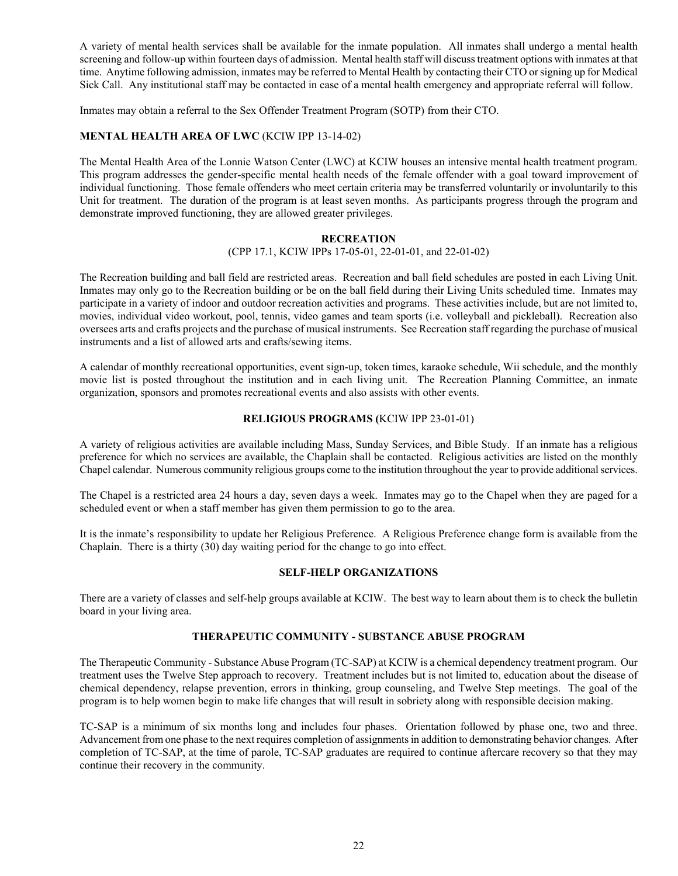A variety of mental health services shall be available for the inmate population. All inmates shall undergo a mental health screening and follow-up within fourteen days of admission. Mental health staff will discuss treatment options with inmates at that time. Anytime following admission, inmates may be referred to Mental Health by contacting their CTO or signing up for Medical Sick Call. Any institutional staff may be contacted in case of a mental health emergency and appropriate referral will follow.

Inmates may obtain a referral to the Sex Offender Treatment Program (SOTP) from their CTO.

# **MENTAL HEALTH AREA OF LWC** (KCIW IPP 13-14-02)

The Mental Health Area of the Lonnie Watson Center (LWC) at KCIW houses an intensive mental health treatment program. This program addresses the gender-specific mental health needs of the female offender with a goal toward improvement of individual functioning. Those female offenders who meet certain criteria may be transferred voluntarily or involuntarily to this Unit for treatment. The duration of the program is at least seven months. As participants progress through the program and demonstrate improved functioning, they are allowed greater privileges.

### **RECREATION**

(CPP 17.1, KCIW IPPs 17-05-01, 22-01-01, and 22-01-02)

The Recreation building and ball field are restricted areas. Recreation and ball field schedules are posted in each Living Unit. Inmates may only go to the Recreation building or be on the ball field during their Living Units scheduled time. Inmates may participate in a variety of indoor and outdoor recreation activities and programs. These activities include, but are not limited to, movies, individual video workout, pool, tennis, video games and team sports (i.e. volleyball and pickleball). Recreation also oversees arts and crafts projects and the purchase of musical instruments. See Recreation staff regarding the purchase of musical instruments and a list of allowed arts and crafts/sewing items.

A calendar of monthly recreational opportunities, event sign-up, token times, karaoke schedule, Wii schedule, and the monthly movie list is posted throughout the institution and in each living unit. The Recreation Planning Committee, an inmate organization, sponsors and promotes recreational events and also assists with other events.

## **RELIGIOUS PROGRAMS (**KCIW IPP 23-01-01)

A variety of religious activities are available including Mass, Sunday Services, and Bible Study. If an inmate has a religious preference for which no services are available, the Chaplain shall be contacted. Religious activities are listed on the monthly Chapel calendar. Numerous community religious groups come to the institution throughout the year to provide additional services.

The Chapel is a restricted area 24 hours a day, seven days a week. Inmates may go to the Chapel when they are paged for a scheduled event or when a staff member has given them permission to go to the area.

It is the inmate's responsibility to update her Religious Preference. A Religious Preference change form is available from the Chaplain. There is a thirty (30) day waiting period for the change to go into effect.

#### **SELF-HELP ORGANIZATIONS**

There are a variety of classes and self-help groups available at KCIW. The best way to learn about them is to check the bulletin board in your living area.

## **THERAPEUTIC COMMUNITY - SUBSTANCE ABUSE PROGRAM**

The Therapeutic Community - Substance Abuse Program (TC-SAP) at KCIW is a chemical dependency treatment program. Our treatment uses the Twelve Step approach to recovery. Treatment includes but is not limited to, education about the disease of chemical dependency, relapse prevention, errors in thinking, group counseling, and Twelve Step meetings. The goal of the program is to help women begin to make life changes that will result in sobriety along with responsible decision making.

TC-SAP is a minimum of six months long and includes four phases. Orientation followed by phase one, two and three. Advancement from one phase to the next requires completion of assignments in addition to demonstrating behavior changes. After completion of TC-SAP, at the time of parole, TC-SAP graduates are required to continue aftercare recovery so that they may continue their recovery in the community.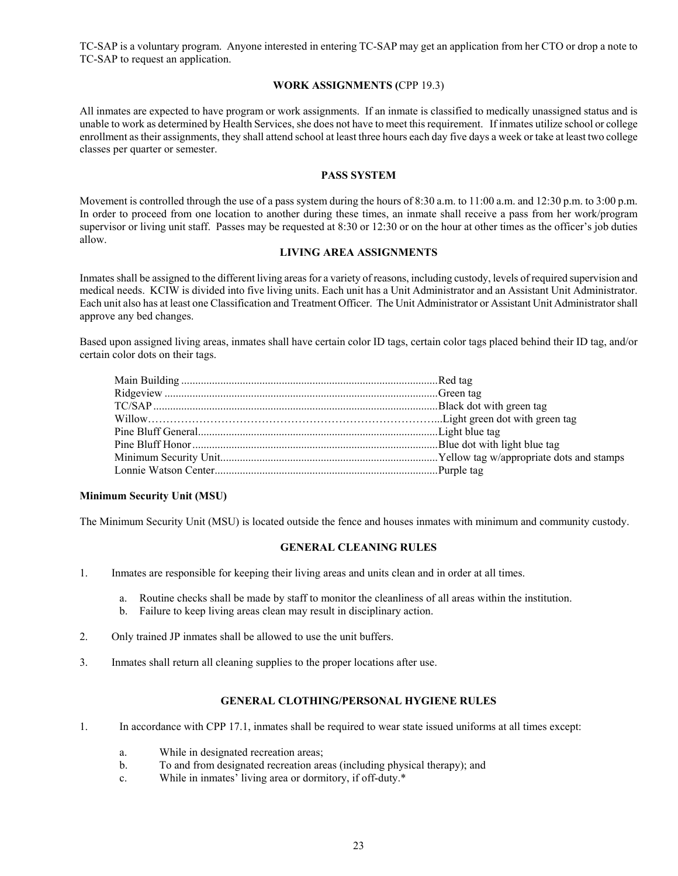TC-SAP is a voluntary program. Anyone interested in entering TC-SAP may get an application from her CTO or drop a note to TC-SAP to request an application.

## **WORK ASSIGNMENTS (**CPP 19.3)

All inmates are expected to have program or work assignments. If an inmate is classified to medically unassigned status and is unable to work as determined by Health Services, she does not have to meet this requirement. If inmates utilize school or college enrollment as their assignments, they shall attend school at least three hours each day five days a week or take at least two college classes per quarter or semester.

## **PASS SYSTEM**

Movement is controlled through the use of a pass system during the hours of 8:30 a.m. to 11:00 a.m. and 12:30 p.m. to 3:00 p.m. In order to proceed from one location to another during these times, an inmate shall receive a pass from her work/program supervisor or living unit staff. Passes may be requested at 8:30 or 12:30 or on the hour at other times as the officer's job duties allow.

## **LIVING AREA ASSIGNMENTS**

Inmates shall be assigned to the different living areas for a variety of reasons, including custody, levels of required supervision and medical needs. KCIW is divided into five living units. Each unit has a Unit Administrator and an Assistant Unit Administrator. Each unit also has at least one Classification and Treatment Officer. The Unit Administrator or Assistant Unit Administrator shall approve any bed changes.

Based upon assigned living areas, inmates shall have certain color ID tags, certain color tags placed behind their ID tag, and/or certain color dots on their tags.

## **Minimum Security Unit (MSU)**

The Minimum Security Unit (MSU) is located outside the fence and houses inmates with minimum and community custody.

#### **GENERAL CLEANING RULES**

- 1. Inmates are responsible for keeping their living areas and units clean and in order at all times.
	- a. Routine checks shall be made by staff to monitor the cleanliness of all areas within the institution.
	- b. Failure to keep living areas clean may result in disciplinary action.
- 2. Only trained JP inmates shall be allowed to use the unit buffers.
- 3. Inmates shall return all cleaning supplies to the proper locations after use.

#### **GENERAL CLOTHING/PERSONAL HYGIENE RULES**

- 1. In accordance with CPP 17.1, inmates shall be required to wear state issued uniforms at all times except:
	- a. While in designated recreation areas;
	- b. To and from designated recreation areas (including physical therapy); and
	- c. While in inmates' living area or dormitory, if off-duty.\*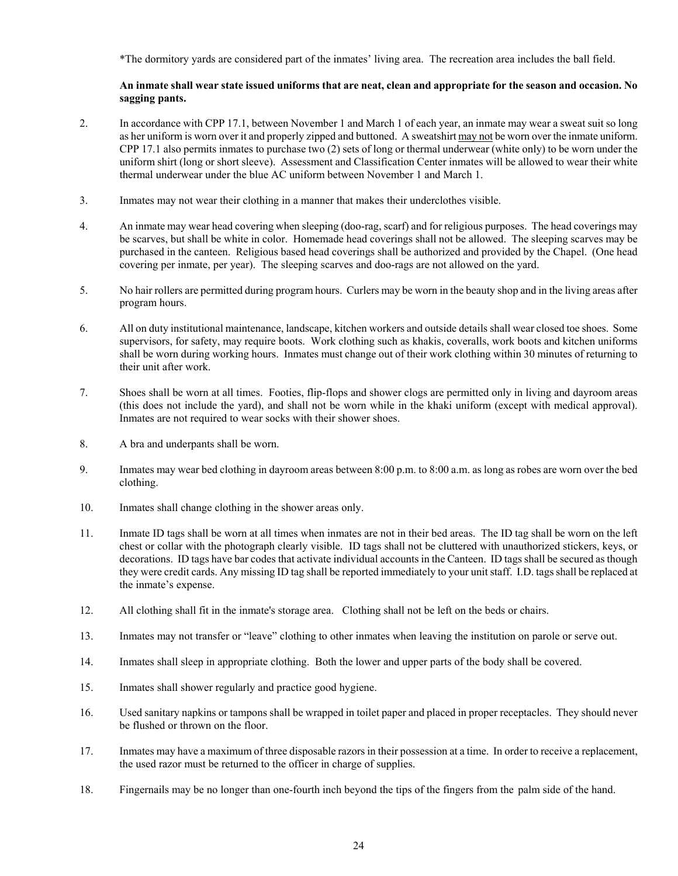\*The dormitory yards are considered part of the inmates' living area. The recreation area includes the ball field.

# **An inmate shall wear state issued uniforms that are neat, clean and appropriate for the season and occasion. No sagging pants.**

- 2. In accordance with CPP 17.1, between November 1 and March 1 of each year, an inmate may wear a sweat suit so long as her uniform is worn over it and properly zipped and buttoned. A sweatshirt may not be worn over the inmate uniform. CPP 17.1 also permits inmates to purchase two (2) sets of long or thermal underwear (white only) to be worn under the uniform shirt (long or short sleeve). Assessment and Classification Center inmates will be allowed to wear their white thermal underwear under the blue AC uniform between November 1 and March 1.
- 3. Inmates may not wear their clothing in a manner that makes their underclothes visible.
- 4. An inmate may wear head covering when sleeping (doo-rag, scarf) and for religious purposes. The head coverings may be scarves, but shall be white in color. Homemade head coverings shall not be allowed. The sleeping scarves may be purchased in the canteen. Religious based head coverings shall be authorized and provided by the Chapel. (One head covering per inmate, per year). The sleeping scarves and doo-rags are not allowed on the yard.
- 5. No hair rollers are permitted during program hours. Curlers may be worn in the beauty shop and in the living areas after program hours.
- 6. All on duty institutional maintenance, landscape, kitchen workers and outside details shall wear closed toe shoes. Some supervisors, for safety, may require boots. Work clothing such as khakis, coveralls, work boots and kitchen uniforms shall be worn during working hours. Inmates must change out of their work clothing within 30 minutes of returning to their unit after work.
- 7. Shoes shall be worn at all times. Footies, flip-flops and shower clogs are permitted only in living and dayroom areas (this does not include the yard), and shall not be worn while in the khaki uniform (except with medical approval). Inmates are not required to wear socks with their shower shoes.
- 8. A bra and underpants shall be worn.
- 9. Inmates may wear bed clothing in dayroom areas between 8:00 p.m. to 8:00 a.m. as long as robes are worn over the bed clothing.
- 10. Inmates shall change clothing in the shower areas only.
- 11. Inmate ID tags shall be worn at all times when inmates are not in their bed areas. The ID tag shall be worn on the left chest or collar with the photograph clearly visible. ID tags shall not be cluttered with unauthorized stickers, keys, or decorations. ID tags have bar codes that activate individual accounts in the Canteen. ID tags shall be secured as though they were credit cards. Any missing ID tag shall be reported immediately to your unit staff. I.D. tags shall be replaced at the inmate's expense.
- 12. All clothing shall fit in the inmate's storage area. Clothing shall not be left on the beds or chairs.
- 13. Inmates may not transfer or "leave" clothing to other inmates when leaving the institution on parole or serve out.
- 14. Inmates shall sleep in appropriate clothing. Both the lower and upper parts of the body shall be covered.
- 15. Inmates shall shower regularly and practice good hygiene.
- 16. Used sanitary napkins or tampons shall be wrapped in toilet paper and placed in proper receptacles. They should never be flushed or thrown on the floor.
- 17. Inmates may have a maximum of three disposable razors in their possession at a time. In order to receive a replacement, the used razor must be returned to the officer in charge of supplies.
- 18. Fingernails may be no longer than one-fourth inch beyond the tips of the fingers from the palm side of the hand.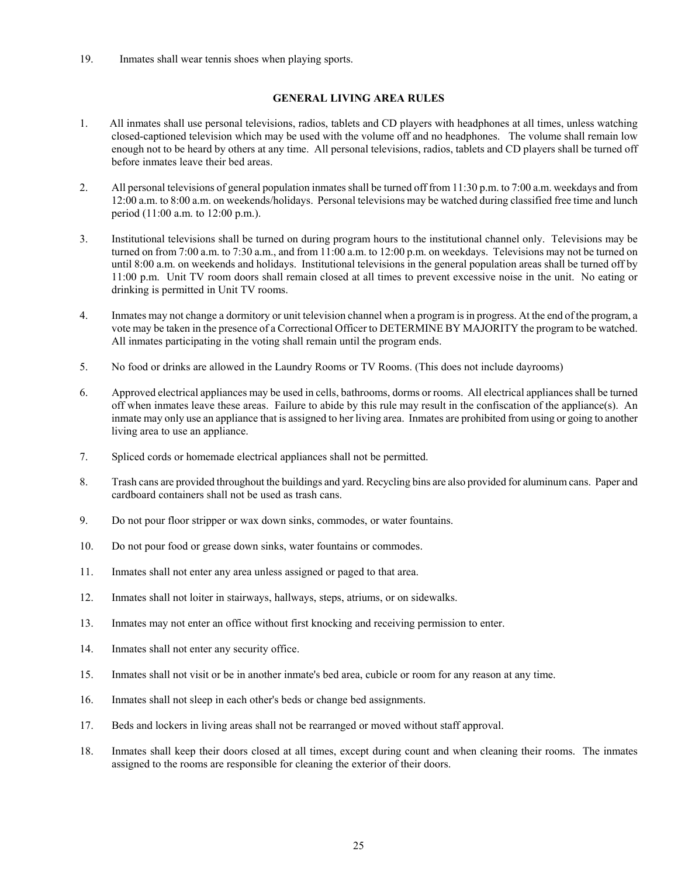19. Inmates shall wear tennis shoes when playing sports.

## **GENERAL LIVING AREA RULES**

- 1. All inmates shall use personal televisions, radios, tablets and CD players with headphones at all times, unless watching closed-captioned television which may be used with the volume off and no headphones. The volume shall remain low enough not to be heard by others at any time. All personal televisions, radios, tablets and CD players shall be turned off before inmates leave their bed areas.
- 2. All personal televisions of general population inmates shall be turned off from 11:30 p.m. to 7:00 a.m. weekdays and from 12:00 a.m. to 8:00 a.m. on weekends/holidays. Personal televisions may be watched during classified free time and lunch period (11:00 a.m. to 12:00 p.m.).
- 3. Institutional televisions shall be turned on during program hours to the institutional channel only. Televisions may be turned on from 7:00 a.m. to 7:30 a.m., and from 11:00 a.m. to 12:00 p.m. on weekdays. Televisions may not be turned on until 8:00 a.m. on weekends and holidays. Institutional televisions in the general population areas shall be turned off by 11:00 p.m. Unit TV room doors shall remain closed at all times to prevent excessive noise in the unit. No eating or drinking is permitted in Unit TV rooms.
- 4. Inmates may not change a dormitory or unit television channel when a program is in progress. At the end of the program, a vote may be taken in the presence of a Correctional Officer to DETERMINE BY MAJORITY the program to be watched. All inmates participating in the voting shall remain until the program ends.
- 5. No food or drinks are allowed in the Laundry Rooms or TV Rooms. (This does not include dayrooms)
- 6. Approved electrical appliances may be used in cells, bathrooms, dorms or rooms. All electrical appliances shall be turned off when inmates leave these areas. Failure to abide by this rule may result in the confiscation of the appliance(s). An inmate may only use an appliance that is assigned to her living area. Inmates are prohibited from using or going to another living area to use an appliance.
- 7. Spliced cords or homemade electrical appliances shall not be permitted.
- 8. Trash cans are provided throughout the buildings and yard. Recycling bins are also provided for aluminum cans. Paper and cardboard containers shall not be used as trash cans.
- 9. Do not pour floor stripper or wax down sinks, commodes, or water fountains.
- 10. Do not pour food or grease down sinks, water fountains or commodes.
- 11. Inmates shall not enter any area unless assigned or paged to that area.
- 12. Inmates shall not loiter in stairways, hallways, steps, atriums, or on sidewalks.
- 13. Inmates may not enter an office without first knocking and receiving permission to enter.
- 14. Inmates shall not enter any security office.
- 15. Inmates shall not visit or be in another inmate's bed area, cubicle or room for any reason at any time.
- 16. Inmates shall not sleep in each other's beds or change bed assignments.
- 17. Beds and lockers in living areas shall not be rearranged or moved without staff approval.
- 18. Inmates shall keep their doors closed at all times, except during count and when cleaning their rooms. The inmates assigned to the rooms are responsible for cleaning the exterior of their doors.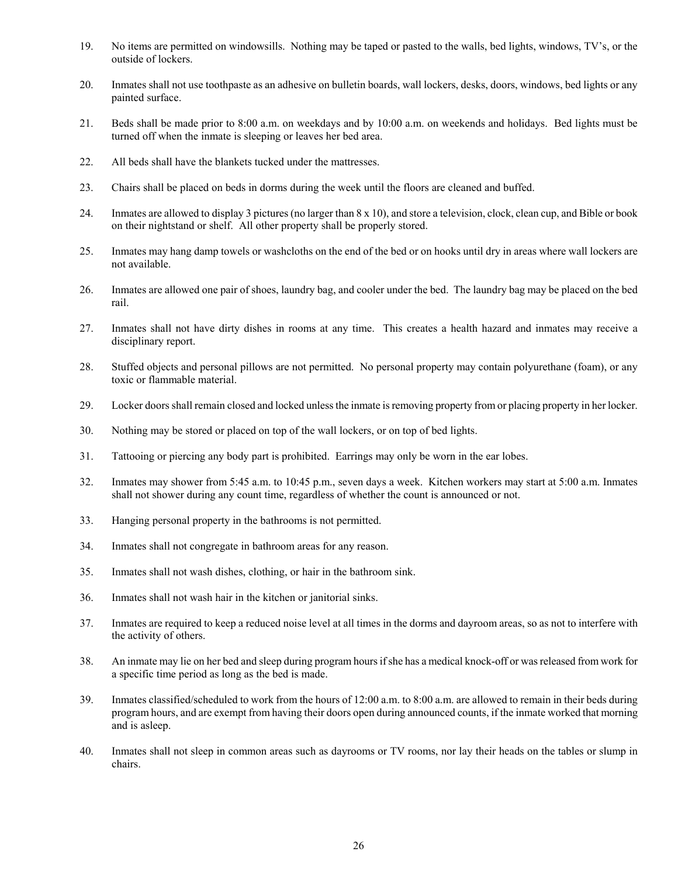- 19. No items are permitted on windowsills. Nothing may be taped or pasted to the walls, bed lights, windows, TV's, or the outside of lockers.
- 20. Inmates shall not use toothpaste as an adhesive on bulletin boards, wall lockers, desks, doors, windows, bed lights or any painted surface.
- 21. Beds shall be made prior to 8:00 a.m. on weekdays and by 10:00 a.m. on weekends and holidays. Bed lights must be turned off when the inmate is sleeping or leaves her bed area.
- 22. All beds shall have the blankets tucked under the mattresses.
- 23. Chairs shall be placed on beds in dorms during the week until the floors are cleaned and buffed.
- 24. Inmates are allowed to display 3 pictures (no larger than 8 x 10), and store a television, clock, clean cup, and Bible or book on their nightstand or shelf. All other property shall be properly stored.
- 25. Inmates may hang damp towels or washcloths on the end of the bed or on hooks until dry in areas where wall lockers are not available.
- 26. Inmates are allowed one pair of shoes, laundry bag, and cooler under the bed. The laundry bag may be placed on the bed rail.
- 27. Inmates shall not have dirty dishes in rooms at any time. This creates a health hazard and inmates may receive a disciplinary report.
- 28. Stuffed objects and personal pillows are not permitted. No personal property may contain polyurethane (foam), or any toxic or flammable material.
- 29. Locker doors shall remain closed and locked unless the inmate is removing property from or placing property in her locker.
- 30. Nothing may be stored or placed on top of the wall lockers, or on top of bed lights.
- 31. Tattooing or piercing any body part is prohibited. Earrings may only be worn in the ear lobes.
- 32. Inmates may shower from 5:45 a.m. to 10:45 p.m., seven days a week. Kitchen workers may start at 5:00 a.m. Inmates shall not shower during any count time, regardless of whether the count is announced or not.
- 33. Hanging personal property in the bathrooms is not permitted.
- 34. Inmates shall not congregate in bathroom areas for any reason.
- 35. Inmates shall not wash dishes, clothing, or hair in the bathroom sink.
- 36. Inmates shall not wash hair in the kitchen or janitorial sinks.
- 37. Inmates are required to keep a reduced noise level at all times in the dorms and dayroom areas, so as not to interfere with the activity of others.
- 38. An inmate may lie on her bed and sleep during program hours if she has a medical knock-off or was released from work for a specific time period as long as the bed is made.
- 39. Inmates classified/scheduled to work from the hours of 12:00 a.m. to 8:00 a.m. are allowed to remain in their beds during program hours, and are exempt from having their doors open during announced counts, if the inmate worked that morning and is asleep.
- 40. Inmates shall not sleep in common areas such as dayrooms or TV rooms, nor lay their heads on the tables or slump in chairs.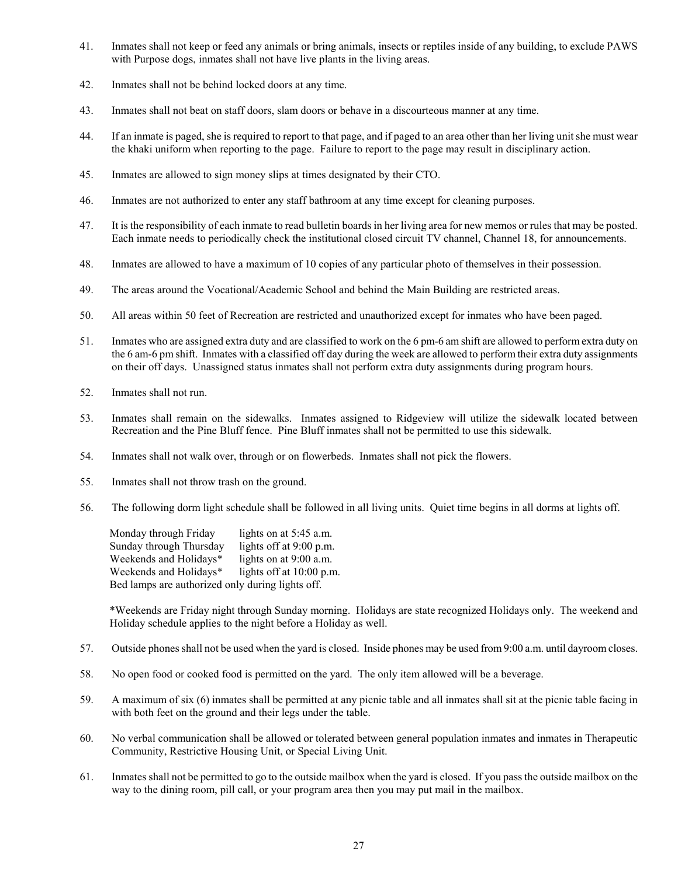- 41. Inmates shall not keep or feed any animals or bring animals, insects or reptiles inside of any building, to exclude PAWS with Purpose dogs, inmates shall not have live plants in the living areas.
- 42. Inmates shall not be behind locked doors at any time.
- 43. Inmates shall not beat on staff doors, slam doors or behave in a discourteous manner at any time.
- 44. If an inmate is paged, she is required to report to that page, and if paged to an area other than her living unit she must wear the khaki uniform when reporting to the page. Failure to report to the page may result in disciplinary action.
- 45. Inmates are allowed to sign money slips at times designated by their CTO.
- 46. Inmates are not authorized to enter any staff bathroom at any time except for cleaning purposes.
- 47. It is the responsibility of each inmate to read bulletin boards in her living area for new memos or rules that may be posted. Each inmate needs to periodically check the institutional closed circuit TV channel, Channel 18, for announcements.
- 48. Inmates are allowed to have a maximum of 10 copies of any particular photo of themselves in their possession.
- 49. The areas around the Vocational/Academic School and behind the Main Building are restricted areas.
- 50. All areas within 50 feet of Recreation are restricted and unauthorized except for inmates who have been paged.
- 51. Inmates who are assigned extra duty and are classified to work on the 6 pm-6 am shift are allowed to perform extra duty on the 6 am-6 pm shift. Inmates with a classified off day during the week are allowed to perform their extra duty assignments on their off days. Unassigned status inmates shall not perform extra duty assignments during program hours.
- 52. Inmates shall not run.
- 53. Inmates shall remain on the sidewalks. Inmates assigned to Ridgeview will utilize the sidewalk located between Recreation and the Pine Bluff fence. Pine Bluff inmates shall not be permitted to use this sidewalk.
- 54. Inmates shall not walk over, through or on flowerbeds. Inmates shall not pick the flowers.
- 55. Inmates shall not throw trash on the ground.
- 56. The following dorm light schedule shall be followed in all living units. Quiet time begins in all dorms at lights off.

| Monday through Friday                            | lights on at 5:45 a.m.   |
|--------------------------------------------------|--------------------------|
| Sunday through Thursday                          | lights off at 9:00 p.m.  |
| Weekends and Holidays*                           | lights on at 9:00 a.m.   |
| Weekends and Holidays*                           | lights off at 10:00 p.m. |
| Bed lamps are authorized only during lights off. |                          |

\*Weekends are Friday night through Sunday morning. Holidays are state recognized Holidays only. The weekend and Holiday schedule applies to the night before a Holiday as well.

- 57. Outside phones shall not be used when the yard is closed. Inside phones may be used from 9:00 a.m. until dayroom closes.
- 58. No open food or cooked food is permitted on the yard. The only item allowed will be a beverage.
- 59. A maximum of six (6) inmates shall be permitted at any picnic table and all inmates shall sit at the picnic table facing in with both feet on the ground and their legs under the table.
- 60. No verbal communication shall be allowed or tolerated between general population inmates and inmates in Therapeutic Community, Restrictive Housing Unit, or Special Living Unit.
- 61. Inmates shall not be permitted to go to the outside mailbox when the yard is closed. If you pass the outside mailbox on the way to the dining room, pill call, or your program area then you may put mail in the mailbox.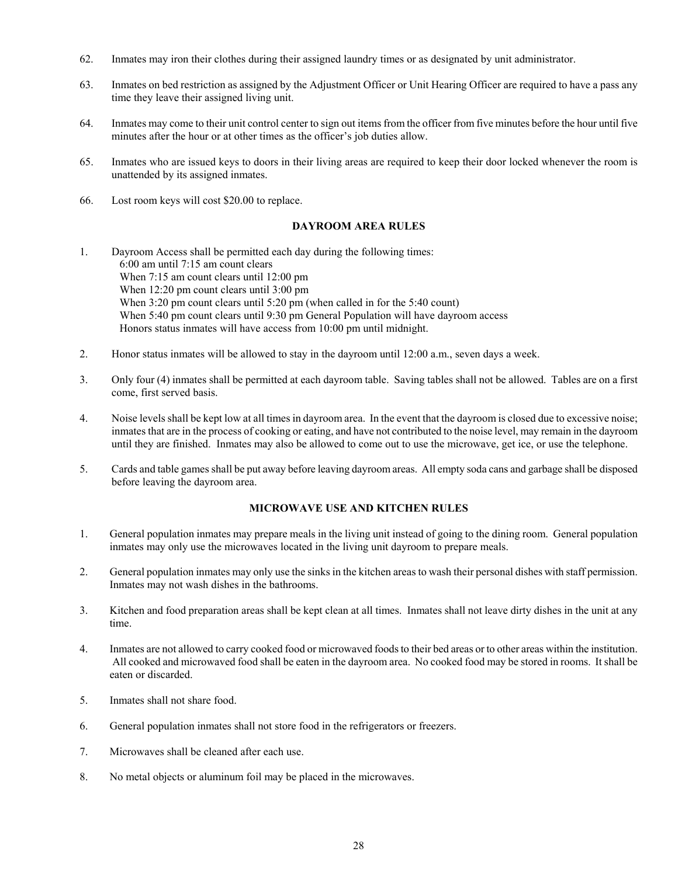- 62. Inmates may iron their clothes during their assigned laundry times or as designated by unit administrator.
- 63. Inmates on bed restriction as assigned by the Adjustment Officer or Unit Hearing Officer are required to have a pass any time they leave their assigned living unit.
- 64. Inmates may come to their unit control center to sign out items from the officer from five minutes before the hour until five minutes after the hour or at other times as the officer's job duties allow.
- 65. Inmates who are issued keys to doors in their living areas are required to keep their door locked whenever the room is unattended by its assigned inmates.
- 66. Lost room keys will cost \$20.00 to replace.

## **DAYROOM AREA RULES**

- 1. Dayroom Access shall be permitted each day during the following times: 6:00 am until 7:15 am count clears When 7:15 am count clears until 12:00 pm When 12:20 pm count clears until 3:00 pm When 3:20 pm count clears until 5:20 pm (when called in for the 5:40 count) When 5:40 pm count clears until 9:30 pm General Population will have dayroom access Honors status inmates will have access from 10:00 pm until midnight.
- 2. Honor status inmates will be allowed to stay in the dayroom until 12:00 a.m., seven days a week.
- 3. Only four (4) inmates shall be permitted at each dayroom table. Saving tables shall not be allowed. Tables are on a first come, first served basis.
- 4. Noise levels shall be kept low at all times in dayroom area. In the event that the dayroom is closed due to excessive noise; inmates that are in the process of cooking or eating, and have not contributed to the noise level, may remain in the dayroom until they are finished. Inmates may also be allowed to come out to use the microwave, get ice, or use the telephone.
- 5. Cards and table games shall be put away before leaving dayroom areas. All empty soda cans and garbage shall be disposed before leaving the dayroom area.

## **MICROWAVE USE AND KITCHEN RULES**

- 1. General population inmates may prepare meals in the living unit instead of going to the dining room. General population inmates may only use the microwaves located in the living unit dayroom to prepare meals.
- 2. General population inmates may only use the sinks in the kitchen areas to wash their personal dishes with staff permission. Inmates may not wash dishes in the bathrooms.
- 3. Kitchen and food preparation areas shall be kept clean at all times. Inmates shall not leave dirty dishes in the unit at any time.
- 4. Inmates are not allowed to carry cooked food or microwaved foodsto their bed areas or to other areas within the institution. All cooked and microwaved food shall be eaten in the dayroom area. No cooked food may be stored in rooms. It shall be eaten or discarded.
- 5. Inmates shall not share food.
- 6. General population inmates shall not store food in the refrigerators or freezers.
- 7. Microwaves shall be cleaned after each use.
- 8. No metal objects or aluminum foil may be placed in the microwaves.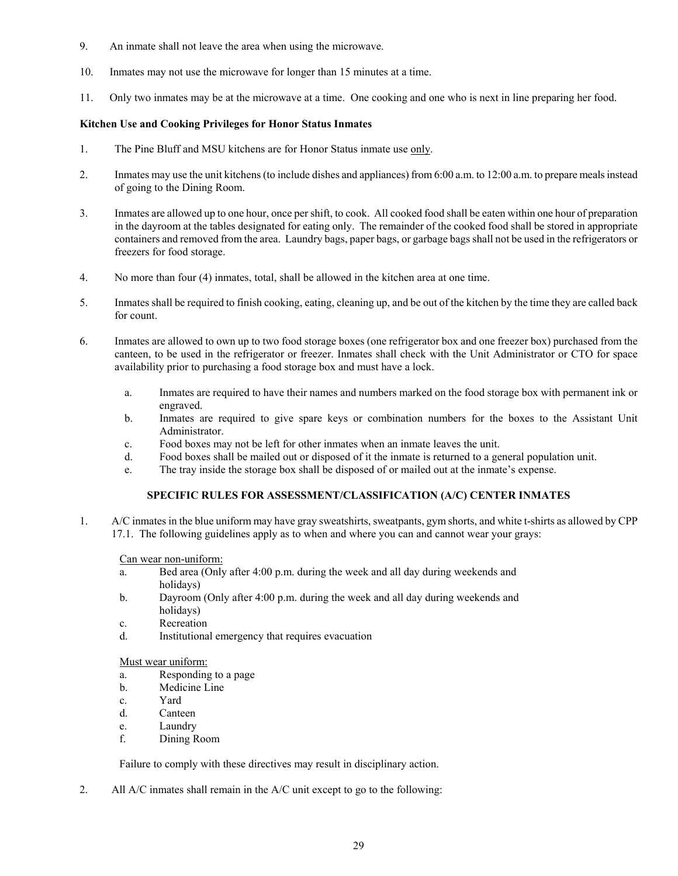- 9. An inmate shall not leave the area when using the microwave.
- 10. Inmates may not use the microwave for longer than 15 minutes at a time.
- 11. Only two inmates may be at the microwave at a time. One cooking and one who is next in line preparing her food.

# **Kitchen Use and Cooking Privileges for Honor Status Inmates**

- 1. The Pine Bluff and MSU kitchens are for Honor Status inmate use only.
- 2. Inmates may use the unit kitchens (to include dishes and appliances) from 6:00 a.m. to 12:00 a.m. to prepare meals instead of going to the Dining Room.
- 3. Inmates are allowed up to one hour, once per shift, to cook. All cooked food shall be eaten within one hour of preparation in the dayroom at the tables designated for eating only. The remainder of the cooked food shall be stored in appropriate containers and removed from the area. Laundry bags, paper bags, or garbage bags shall not be used in the refrigerators or freezers for food storage.
- 4. No more than four (4) inmates, total, shall be allowed in the kitchen area at one time.
- 5. Inmates shall be required to finish cooking, eating, cleaning up, and be out of the kitchen by the time they are called back for count.
- 6. Inmates are allowed to own up to two food storage boxes (one refrigerator box and one freezer box) purchased from the canteen, to be used in the refrigerator or freezer. Inmates shall check with the Unit Administrator or CTO for space availability prior to purchasing a food storage box and must have a lock.
	- a. Inmates are required to have their names and numbers marked on the food storage box with permanent ink or engraved.
	- b. Inmates are required to give spare keys or combination numbers for the boxes to the Assistant Unit Administrator.
	- c. Food boxes may not be left for other inmates when an inmate leaves the unit.
	- d. Food boxes shall be mailed out or disposed of it the inmate is returned to a general population unit.
	- e. The tray inside the storage box shall be disposed of or mailed out at the inmate's expense.

# **SPECIFIC RULES FOR ASSESSMENT/CLASSIFICATION (A/C) CENTER INMATES**

1. A/C inmates in the blue uniform may have gray sweatshirts, sweatpants, gym shorts, and white t-shirts as allowed by CPP 17.1. The following guidelines apply as to when and where you can and cannot wear your grays:

Can wear non-uniform:

- a. Bed area (Only after 4:00 p.m. during the week and all day during weekends and holidays)
- b. Dayroom (Only after 4:00 p.m. during the week and all day during weekends and holidays)
- c. Recreation
- d. Institutional emergency that requires evacuation

## Must wear uniform:

- a. Responding to a page
- b. Medicine Line
- c. Yard
- d. Canteen
- e. Laundry
- f. Dining Room

Failure to comply with these directives may result in disciplinary action.

2. All A/C inmates shall remain in the A/C unit except to go to the following: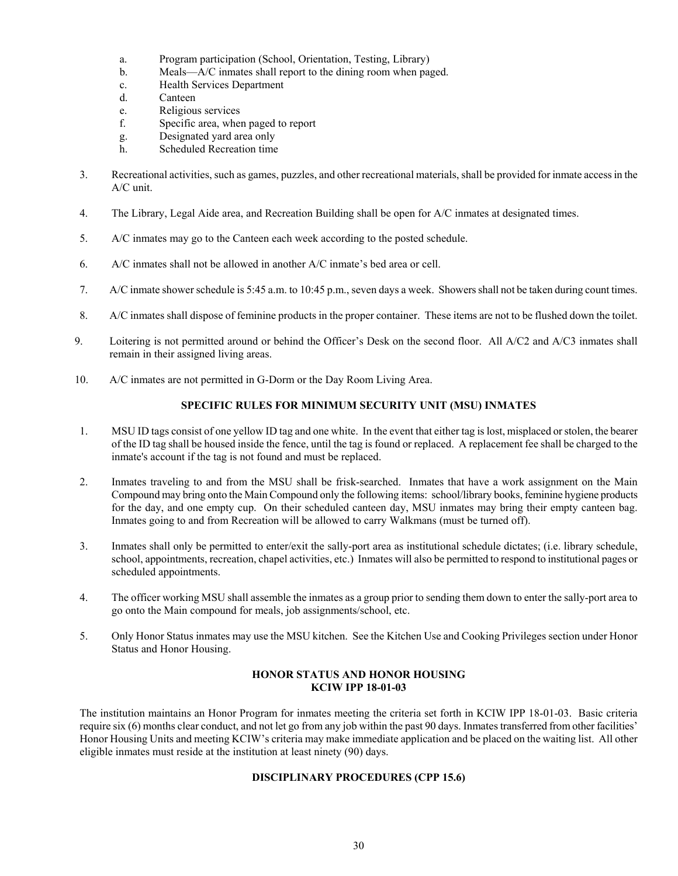- a. Program participation (School, Orientation, Testing, Library)
- b. Meals––A/C inmates shall report to the dining room when paged.
- c. Health Services Department
- d. Canteen
- e. Religious services
- f. Specific area, when paged to report
- g. Designated yard area only
- h. Scheduled Recreation time
- 3. Recreational activities, such as games, puzzles, and other recreational materials, shall be provided for inmate access in the A/C unit.
- 4. The Library, Legal Aide area, and Recreation Building shall be open for A/C inmates at designated times.
- 5. A/C inmates may go to the Canteen each week according to the posted schedule.
- 6. A/C inmates shall not be allowed in another A/C inmate's bed area or cell.
- 7. A/C inmate shower schedule is 5:45 a.m. to 10:45 p.m., seven days a week. Showers shall not be taken during count times.
- 8. A/C inmates shall dispose of feminine products in the proper container. These items are not to be flushed down the toilet.
- 9. Loitering is not permitted around or behind the Officer's Desk on the second floor. All A/C2 and A/C3 inmates shall remain in their assigned living areas.
- 10. A/C inmates are not permitted in G-Dorm or the Day Room Living Area.

### **SPECIFIC RULES FOR MINIMUM SECURITY UNIT (MSU) INMATES**

- 1. MSU ID tags consist of one yellow ID tag and one white. In the event that either tag is lost, misplaced or stolen, the bearer of the ID tag shall be housed inside the fence, until the tag is found or replaced. A replacement fee shall be charged to the inmate's account if the tag is not found and must be replaced.
- 2. Inmates traveling to and from the MSU shall be frisk-searched. Inmates that have a work assignment on the Main Compound may bring onto the Main Compound only the following items: school/library books, feminine hygiene products for the day, and one empty cup. On their scheduled canteen day, MSU inmates may bring their empty canteen bag. Inmates going to and from Recreation will be allowed to carry Walkmans (must be turned off).
- 3. Inmates shall only be permitted to enter/exit the sally-port area as institutional schedule dictates; (i.e. library schedule, school, appointments, recreation, chapel activities, etc.) Inmates will also be permitted to respond to institutional pages or scheduled appointments.
- 4. The officer working MSU shall assemble the inmates as a group prior to sending them down to enter the sally-port area to go onto the Main compound for meals, job assignments/school, etc.
- 5. Only Honor Status inmates may use the MSU kitchen. See the Kitchen Use and Cooking Privileges section under Honor Status and Honor Housing.

## **HONOR STATUS AND HONOR HOUSING KCIW IPP 18-01-03**

The institution maintains an Honor Program for inmates meeting the criteria set forth in KCIW IPP 18-01-03. Basic criteria require six (6) months clear conduct, and not let go from any job within the past 90 days. Inmates transferred from other facilities' Honor Housing Units and meeting KCIW's criteria may make immediate application and be placed on the waiting list. All other eligible inmates must reside at the institution at least ninety (90) days.

# **DISCIPLINARY PROCEDURES (CPP 15.6)**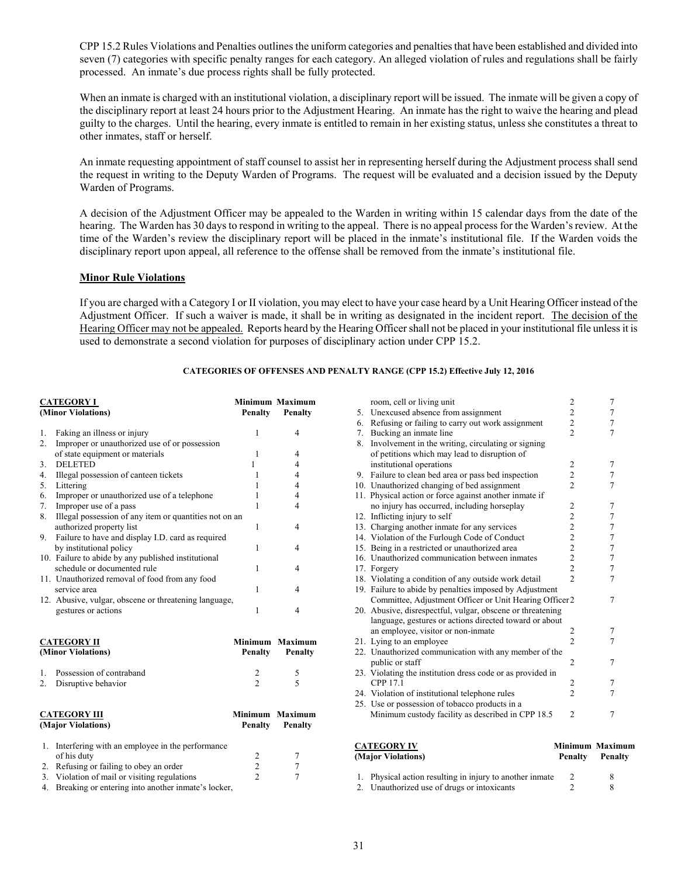CPP 15.2 Rules Violations and Penalties outlines the uniform categories and penalties that have been established and divided into seven (7) categories with specific penalty ranges for each category. An alleged violation of rules and regulations shall be fairly processed. An inmate's due process rights shall be fully protected.

When an inmate is charged with an institutional violation, a disciplinary report will be issued. The inmate will be given a copy of the disciplinary report at least 24 hours prior to the Adjustment Hearing. An inmate has the right to waive the hearing and plead guilty to the charges. Until the hearing, every inmate is entitled to remain in her existing status, unless she constitutes a threat to other inmates, staff or herself.

An inmate requesting appointment of staff counsel to assist her in representing herself during the Adjustment process shall send the request in writing to the Deputy Warden of Programs. The request will be evaluated and a decision issued by the Deputy Warden of Programs.

A decision of the Adjustment Officer may be appealed to the Warden in writing within 15 calendar days from the date of the hearing. The Warden has 30 days to respond in writing to the appeal. There is no appeal process for the Warden's review. At the time of the Warden's review the disciplinary report will be placed in the inmate's institutional file. If the Warden voids the disciplinary report upon appeal, all reference to the offense shall be removed from the inmate's institutional file.

#### **Minor Rule Violations**

If you are charged with a Category I or II violation, you may elect to have your case heard by a Unit Hearing Officer instead of the Adjustment Officer. If such a waiver is made, it shall be in writing as designated in the incident report. The decision of the Hearing Officer may not be appealed. Reports heard by the Hearing Officer shall not be placed in your institutional file unless it is used to demonstrate a second violation for purposes of disciplinary action under CPP 15.2.

#### **CATEGORIES OF OFFENSES AND PENALTY RANGE (CPP 15.2) Effective July 12, 2016**

| <b>CATEGORY I</b>  |                                                        |                | <b>Minimum Maximum</b>   |  |
|--------------------|--------------------------------------------------------|----------------|--------------------------|--|
| (Minor Violations) |                                                        | Penalty        | Penalty                  |  |
| 1.                 | Faking an illness or injury                            | 1              | $\overline{4}$           |  |
| 2.                 | Improper or unauthorized use of or possession          |                |                          |  |
|                    | of state equipment or materials                        | $\mathbf{1}$   | $\overline{4}$           |  |
| 3.                 | <b>DELETED</b>                                         | 1              | $\overline{4}$           |  |
| 4.                 | Illegal possession of canteen tickets                  | 1              | $\overline{4}$           |  |
| 5.                 | Littering                                              | 1              | $\overline{4}$           |  |
| 6.                 | Improper or unauthorized use of a telephone            | 1              | $\overline{4}$           |  |
| 7.                 | Improper use of a pass                                 | 1              | 4                        |  |
| 8.                 | Illegal possession of any item or quantities not on an |                |                          |  |
|                    | authorized property list                               | 1              | $\overline{4}$           |  |
| 9.                 | Failure to have and display I.D. card as required      |                |                          |  |
|                    | by institutional policy                                | 1              | 4                        |  |
|                    | 10. Failure to abide by any published institutional    |                |                          |  |
|                    | schedule or documented rule                            | 1              | $\overline{4}$           |  |
|                    | 11. Unauthorized removal of food from any food         |                |                          |  |
|                    | service area                                           | 1              | 4                        |  |
|                    | 12. Abusive, vulgar, obscene or threatening language,  |                |                          |  |
|                    | gestures or actions                                    | 1              | 4                        |  |
|                    | <b>CATEGORY II</b>                                     | <b>Minimum</b> | <b>Maximum</b>           |  |
|                    | (Minor Violations)                                     | Penalty        | Penalty                  |  |
| 1.                 | Possession of contraband                               | 2              | 5                        |  |
| 2.                 | Disruptive behavior                                    | $\mathfrak{D}$ | $\overline{\phantom{0}}$ |  |
|                    | <b>CATEGORY III</b>                                    | <b>Minimum</b> | <b>Maximum</b>           |  |
|                    | (Major Violations)                                     | Penalty        | Penalty                  |  |
| 1.                 | Interfering with an employee in the performance        |                |                          |  |
|                    | of his duty                                            | 2              | 7                        |  |
| 2.                 | Refusing or failing to obey an order                   | $\overline{c}$ | 7                        |  |
| 3.                 | Violation of mail or visiting regulations              | $\overline{2}$ | 7                        |  |
| 4.                 | Breaking or entering into another inmate's locker,     |                |                          |  |

|          | <b>CATEGORY IV</b><br>(Major Violations)                                     | <b>Minimum Maximum</b><br><b>Penalty</b>   | <b>Penalty</b> |  |
|----------|------------------------------------------------------------------------------|--------------------------------------------|----------------|--|
|          | Minimum custody facility as described in CPP 18.5                            | $\overline{2}$                             | 7              |  |
|          | 25. Use or possession of tobacco products in a                               |                                            |                |  |
|          | 24. Violation of institutional telephone rules                               | $\overline{2}$                             | 7              |  |
|          | CPP 17.1                                                                     | 2                                          | 7              |  |
|          | 23. Violating the institution dress code or as provided in                   |                                            |                |  |
|          | public or staff                                                              | 2                                          | 7              |  |
|          | 22. Unauthorized communication with any member of the                        |                                            |                |  |
|          | an employee, visitor or non-inmate<br>21. Lying to an employee               | 2<br>$\overline{2}$                        | 7<br>7         |  |
|          | language, gestures or actions directed toward or about                       |                                            |                |  |
|          | 20. Abusive, disrespectful, vulgar, obscene or threatening                   |                                            |                |  |
|          | Committee, Adjustment Officer or Unit Hearing Officer2                       |                                            | 7              |  |
|          | 19. Failure to abide by penalties imposed by Adjustment                      |                                            |                |  |
|          | 18. Violating a condition of any outside work detail                         | $\overline{\mathcal{L}}$                   | $\tau$         |  |
|          | 17. Forgery                                                                  | $\overline{c}$                             | $\tau$         |  |
|          | 16. Unauthorized communication between inmates                               | $\begin{array}{c} 2 \\ 2 \\ 2 \end{array}$ | $\tau$         |  |
|          | 15. Being in a restricted or unauthorized area                               |                                            | $\tau$         |  |
|          | 14. Violation of the Furlough Code of Conduct                                |                                            | 7              |  |
|          | 13. Charging another inmate for any services                                 | $\overline{c}$                             | $\tau$         |  |
|          | 12. Inflicting injury to self                                                | $\overline{c}$                             | 7              |  |
|          | no injury has occurred, including horseplay                                  | $\overline{2}$                             | 7              |  |
|          | 11. Physical action or force against another inmate if                       |                                            |                |  |
|          | 10. Unauthorized changing of bed assignment                                  | $\overline{2}$                             | 7              |  |
| 9.       | Failure to clean bed area or pass bed inspection                             | $\overline{c}$                             | $\tau$         |  |
|          | institutional operations                                                     | $\overline{c}$                             | 7              |  |
|          | of petitions which may lead to disruption of                                 |                                            |                |  |
| 8.       | Bucking an inmate line<br>Involvement in the writing, circulating or signing |                                            |                |  |
| 6.<br>7. | Refusing or failing to carry out work assignment                             | $\overline{\mathcal{L}}$                   | 7              |  |
| 5.       | Unexcused absence from assignment                                            | $\overline{c}$<br>$\overline{c}$           | 7<br>7         |  |
|          | room, cell or living unit                                                    | $\overline{\mathbf{c}}$                    | 7              |  |
|          |                                                                              |                                            |                |  |

| 1. Physical action resulting in injury to another inmate |  |
|----------------------------------------------------------|--|
| 2. Unauthorized use of drugs or intoxicants              |  |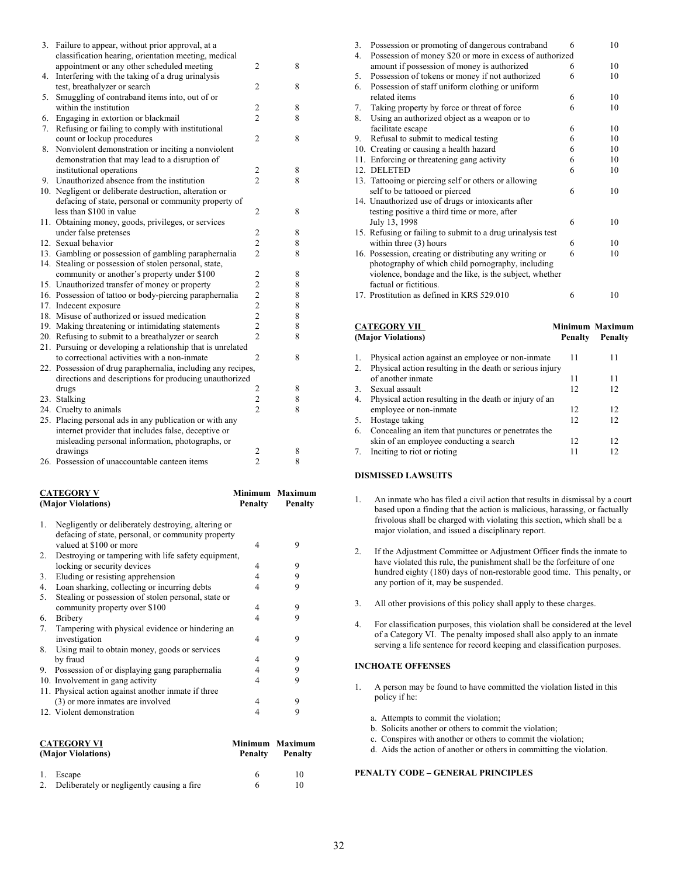| 3. | Failure to appear, without prior approval, at a              |                                            |   |
|----|--------------------------------------------------------------|--------------------------------------------|---|
|    | classification hearing, orientation meeting, medical         |                                            |   |
|    | appointment or any other scheduled meeting                   | $\overline{2}$                             | 8 |
| 4. | Interfering with the taking of a drug urinalysis             |                                            |   |
|    | test, breathalyzer or search                                 | $\overline{2}$                             | 8 |
| 5. | Smuggling of contraband items into, out of or                |                                            |   |
|    | within the institution                                       | $\overline{2}$                             | 8 |
| 6. | Engaging in extortion or blackmail                           | $\overline{2}$                             | 8 |
| 7. | Refusing or failing to comply with institutional             |                                            |   |
|    | count or lockup procedures                                   | $\overline{2}$                             | 8 |
| 8. | Nonviolent demonstration or inciting a nonviolent            |                                            |   |
|    | demonstration that may lead to a disruption of               |                                            |   |
|    | institutional operations                                     | $\overline{c}$                             | 8 |
| 9. | Unauthorized absence from the institution                    | $\overline{2}$                             | 8 |
|    | 10. Negligent or deliberate destruction, alteration or       |                                            |   |
|    | defacing of state, personal or community property of         |                                            |   |
|    | less than \$100 in value                                     | $\overline{2}$                             | 8 |
|    | 11. Obtaining money, goods, privileges, or services          |                                            |   |
|    | under false pretenses                                        | $\overline{2}$                             | 8 |
|    | 12. Sexual behavior                                          | $\overline{2}$                             | 8 |
|    | 13. Gambling or possession of gambling paraphernalia         | $\overline{2}$                             | 8 |
|    | 14. Stealing or possession of stolen personal, state,        |                                            |   |
|    | community or another's property under \$100                  | $\overline{2}$                             | 8 |
|    | 15. Unauthorized transfer of money or property               | $\overline{c}$                             | 8 |
|    | 16. Possession of tattoo or body-piercing paraphernalia      |                                            | 8 |
|    | 17. Indecent exposure                                        |                                            | 8 |
|    | 18. Misuse of authorized or issued medication                | $\begin{array}{c} 2 \\ 2 \\ 2 \end{array}$ | 8 |
|    | 19. Making threatening or intimidating statements            | $\overline{c}$                             | 8 |
|    | 20. Refusing to submit to a breathalyzer or search           | $\overline{c}$                             | 8 |
|    | 21. Pursuing or developing a relationship that is unrelated  |                                            |   |
|    | to correctional activities with a non-inmate                 | $\overline{c}$                             | 8 |
|    | 22. Possession of drug paraphernalia, including any recipes, |                                            |   |
|    | directions and descriptions for producing unauthorized       |                                            |   |
|    | drugs                                                        | 2                                          | 8 |
|    | 23. Stalking                                                 | $\overline{2}$                             | 8 |
|    | 24. Cruelty to animals                                       | $\overline{2}$                             | 8 |
|    | 25. Placing personal ads in any publication or with any      |                                            |   |
|    | internet provider that includes false, deceptive or          |                                            |   |
|    | misleading personal information, photographs, or             |                                            |   |
|    | drawings                                                     | $\overline{\mathbf{c}}$                    | 8 |
|    | 26. Possession of unaccountable canteen items                | $\overline{c}$                             | 8 |
|    |                                                              |                                            |   |

| <b>CATEGORY V</b><br>(Major Violations) |                                                     | <b>Penalty</b> | Minimum Maximum<br><b>Penalty</b> |
|-----------------------------------------|-----------------------------------------------------|----------------|-----------------------------------|
| 1.                                      | Negligently or deliberately destroying, altering or |                |                                   |
|                                         | defacing of state, personal, or community property  |                |                                   |
|                                         | valued at \$100 or more                             | 4              | 9                                 |
| 2.                                      | Destroying or tampering with life safety equipment, |                |                                   |
|                                         | locking or security devices                         | 4              | 9                                 |
| 3.                                      | Eluding or resisting apprehension                   | 4              | 9                                 |
| 4.                                      | Loan sharking, collecting or incurring debts        | 4              | 9                                 |
| 5.                                      | Stealing or possession of stolen personal, state or |                |                                   |
|                                         | community property over \$100                       | 4              | 9                                 |
| 6.                                      | Bribery                                             | 4              | 9                                 |
| 7.                                      | Tampering with physical evidence or hindering an    |                |                                   |
|                                         | investigation                                       | 4              | 9                                 |
| 8.                                      | Using mail to obtain money, goods or services       |                |                                   |
|                                         | by fraud                                            | 4              | 9                                 |
| 9.                                      | Possession of or displaying gang paraphernalia      | 4              | 9                                 |
|                                         | 10. Involvement in gang activity                    | 4              | 9                                 |
|                                         | 11. Physical action against another inmate if three |                |                                   |
|                                         | (3) or more inmates are involved                    | 4              | 9                                 |
|                                         | 12. Violent demonstration                           | 4              | 9                                 |
|                                         | <b>CATEGORY VI</b>                                  |                | Minimum Maximum                   |

| .<br>(Major Violations)                           | Penalty | Penalty |  |
|---------------------------------------------------|---------|---------|--|
| 1. Escape                                         |         | 10      |  |
| Deliberately or negligently causing a fire.<br>2. |         | 10      |  |
|                                                   |         |         |  |

|    | <b>CATEGORY VII</b><br>(A1, 2, , 12, 1, 1, 2, , 1)                                                           |   | <b>Minimum Maximum</b><br>$\mathbf{D}_{\text{max}} = \mathbf{L}$ |
|----|--------------------------------------------------------------------------------------------------------------|---|------------------------------------------------------------------|
|    | 17. Prostitution as defined in KRS 529.010                                                                   | 6 | 10                                                               |
|    | factual or fictitious.                                                                                       |   |                                                                  |
|    | photography of which child pornography, including<br>violence, bondage and the like, is the subject, whether |   |                                                                  |
|    | 16. Possession, creating or distributing any writing or                                                      | 6 | 10                                                               |
|    | within three (3) hours                                                                                       | 6 | 10                                                               |
|    | 15. Refusing or failing to submit to a drug urinalysis test                                                  |   |                                                                  |
|    | July 13, 1998                                                                                                | 6 | 10                                                               |
|    | testing positive a third time or more, after                                                                 |   |                                                                  |
|    | self to be tattooed or pierced<br>14. Unauthorized use of drugs or intoxicants after                         | 6 | 10                                                               |
|    | 13. Tattooing or piercing self or others or allowing                                                         |   |                                                                  |
|    | 12. DELETED                                                                                                  | 6 | 10                                                               |
|    | 11. Enforcing or threatening gang activity                                                                   | 6 | 10                                                               |
|    | 10. Creating or causing a health hazard                                                                      | 6 | 10                                                               |
| 9. | Refusal to submit to medical testing                                                                         | 6 | 10                                                               |
|    | facilitate escape                                                                                            | 6 | 10                                                               |
| 8. | Using an authorized object as a weapon or to                                                                 |   |                                                                  |
| 7. | Taking property by force or threat of force                                                                  | 6 | 10                                                               |
|    | related items                                                                                                | 6 | 10                                                               |
| 6. | Possession of staff uniform clothing or uniform                                                              |   |                                                                  |
| 5. | Possession of tokens or money if not authorized                                                              | 6 | 10                                                               |
|    | amount if possession of money is authorized                                                                  | 6 | 10                                                               |
| 4. | Possession of money \$20 or more in excess of authorized                                                     |   |                                                                  |
| 3. | Possession or promoting of dangerous contraband                                                              | 6 | 10                                                               |

| (Major Violations) |                                                          | <b>Penalty</b> | Penalty |  |
|--------------------|----------------------------------------------------------|----------------|---------|--|
| 1.                 | Physical action against an employee or non-inmate        | 11             | 11      |  |
| 2.                 | Physical action resulting in the death or serious injury |                |         |  |
|                    | of another inmate                                        | 11             | 11      |  |
| 3 <sub>1</sub>     | Sexual assault                                           | 12             | 12      |  |
| 4.                 | Physical action resulting in the death or injury of an   |                |         |  |
|                    | employee or non-inmate                                   | 12             | 12      |  |
| 5.                 | Hostage taking                                           | 12             | 12      |  |
| 6.                 | Concealing an item that punctures or penetrates the      |                |         |  |
|                    | skin of an employee conducting a search                  | 12             | 12      |  |
| 7.                 | Inciting to riot or rioting                              |                | 12      |  |

#### **DISMISSED LAWSUITS**

- 1. An inmate who has filed a civil action that results in dismissal by a court based upon a finding that the action is malicious, harassing, or factually frivolous shall be charged with violating this section, which shall be a major violation, and issued a disciplinary report.
- 2. If the Adjustment Committee or Adjustment Officer finds the inmate to have violated this rule, the punishment shall be the forfeiture of one hundred eighty (180) days of non-restorable good time. This penalty, or any portion of it, may be suspended.
- 3. All other provisions of this policy shall apply to these charges.
- 4. For classification purposes, this violation shall be considered at the level of a Category VI. The penalty imposed shall also apply to an inmate serving a life sentence for record keeping and classification purposes.

#### **INCHOATE OFFENSES**

- 1. A person may be found to have committed the violation listed in this policy if he:
	- a. Attempts to commit the violation;
	- b. Solicits another or others to commit the violation;
	- c. Conspires with another or others to commit the violation;
	- d. Aids the action of another or others in committing the violation.

#### **PENALTY CODE – GENERAL PRINCIPLES**